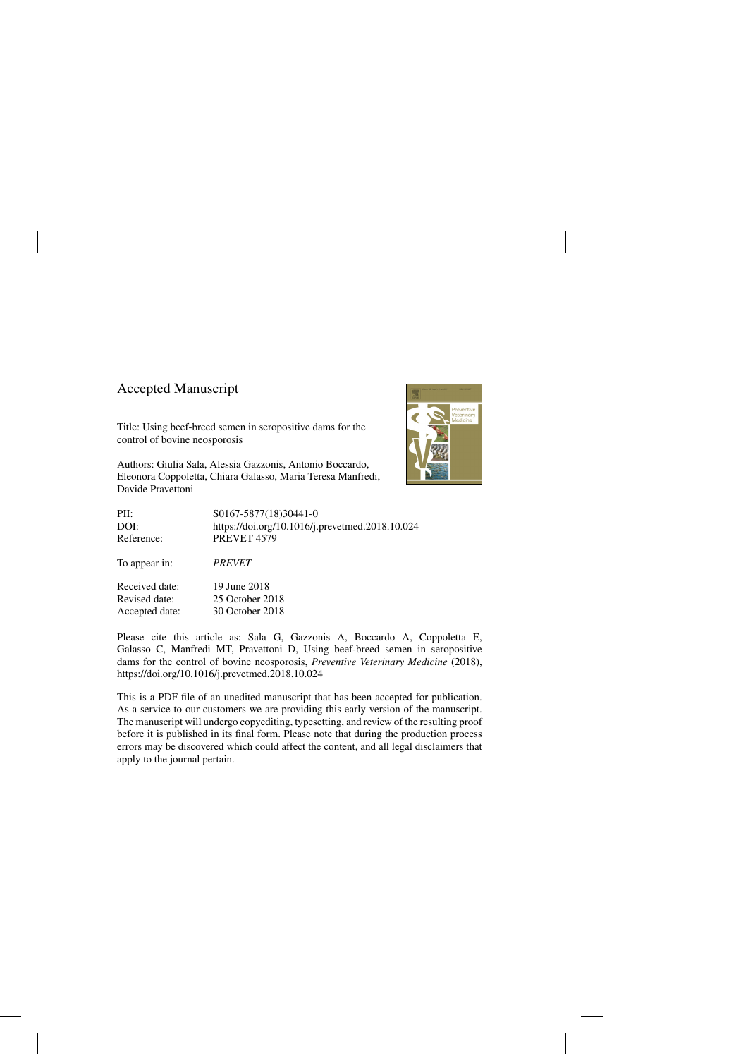## Accepted Manuscript

Title: Using beef-breed semen in seropositive dams for the control of bovine neosporosis

Authors: Giulia Sala, Alessia Gazzonis, Antonio Boccardo, Eleonora Coppoletta, Chiara Galasso, Maria Teresa Manfredi, Davide Pravettoni



| PII:           | S0167-5877(18)30441-0                           |
|----------------|-------------------------------------------------|
| DOI:           | https://doi.org/10.1016/j.prevetmed.2018.10.024 |
| Reference:     | PREVET <sub>4579</sub>                          |
| To appear in:  | <i><b>PREVET</b></i>                            |
| Received date: | 19 June 2018                                    |
| Revised date:  | 25 October 2018                                 |
| Accepted date: | 30 October 2018                                 |

Please cite this article as: Sala G, Gazzonis A, Boccardo A, Coppoletta E, Galasso C, Manfredi MT, Pravettoni D, Using beef-breed semen in seropositive dams for the control of bovine neosporosis, *Preventive Veterinary Medicine* (2018), <https://doi.org/10.1016/j.prevetmed.2018.10.024>

This is a PDF file of an unedited manuscript that has been accepted for publication. As a service to our customers we are providing this early version of the manuscript. The manuscript will undergo copyediting, typesetting, and review of the resulting proof before it is published in its final form. Please note that during the production process errors may be discovered which could affect the content, and all legal disclaimers that apply to the journal pertain.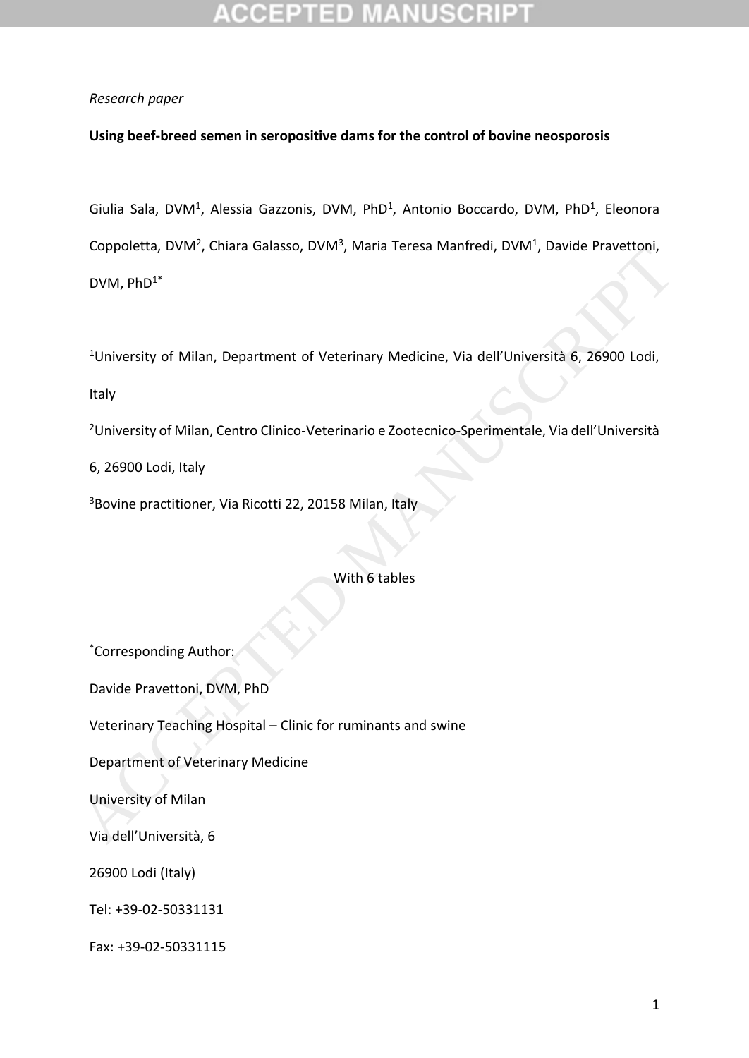## *Research paper*

## **Using beef-breed semen in seropositive dams for the control of bovine neosporosis**

Giulia Sala, DVM<sup>1</sup>, Alessia Gazzonis, DVM, PhD<sup>1</sup>, Antonio Boccardo, DVM, PhD<sup>1</sup>, Eleonora Coppoletta, DVM<sup>2</sup>, Chiara Galasso, DVM<sup>3</sup>, Maria Teresa Manfredi, DVM<sup>1</sup>, Davide Pravettoni, DVM, PhD1\*

<sup>1</sup>University of Milan, Department of Veterinary Medicine, Via dell'Università 6, 26900 Lodi,

Italy

<sup>2</sup>University of Milan, Centro Clinico-Veterinario e Zootecnico-Sperimentale, Via dell'Università

6, 26900 Lodi, Italy

<sup>3</sup>Bovine practitioner, Via Ricotti 22, 20158 Milan, Italy

With 6 tables

\*Corresponding Author: Davide Pravettoni, DVM, PhD Veterinary Teaching Hospital – Clinic for ruminants and swine Department of Veterinary Medicine University of Milan Via dell'Università, 6 26900 Lodi (Italy) Tel: +39-02-50331131 Fax: +39-02-50331115 Copporetta, DVM", Unlara Garasso, DVM", Waria Telesa Manifedi, DVM", Davide Pravettonii,<br>
1 University of Milan, Department of Veterinary Medicine, Via dell'Università 6, 26900 Lodi,<br>
1 Haly<br>
2 University of Milan, Centro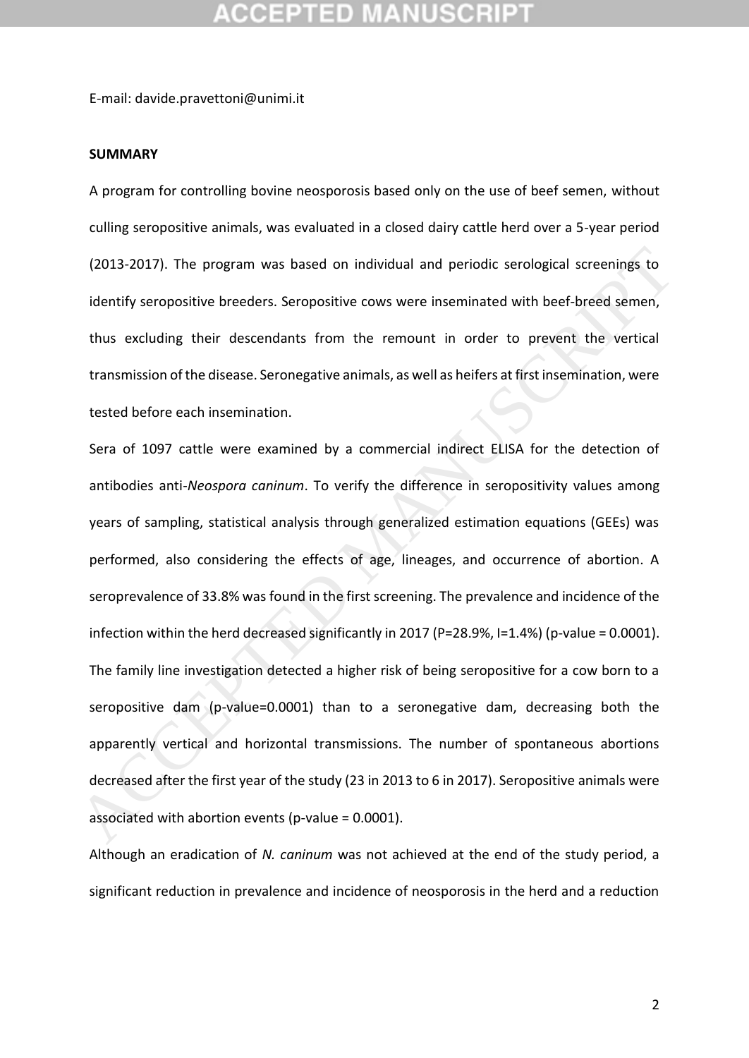E-mail: davide.pravettoni@unimi.it

### **SUMMARY**

A program for controlling bovine neosporosis based only on the use of beef semen, without culling seropositive animals, was evaluated in a closed dairy cattle herd over a 5-year period (2013-2017). The program was based on individual and periodic serological screenings to identify seropositive breeders. Seropositive cows were inseminated with beef-breed semen, thus excluding their descendants from the remount in order to prevent the vertical transmission of the disease. Seronegative animals, as well as heifers at first insemination, were tested before each insemination.

Sera of 1097 cattle were examined by a commercial indirect ELISA for the detection of antibodies anti-*Neospora caninum*. To verify the difference in seropositivity values among years of sampling, statistical analysis through generalized estimation equations (GEEs) was performed, also considering the effects of age, lineages, and occurrence of abortion. A seroprevalence of 33.8% was found in the first screening. The prevalence and incidence of the infection within the herd decreased significantly in 2017 (P=28.9%, I=1.4%) (p-value = 0.0001). The family line investigation detected a higher risk of being seropositive for a cow born to a seropositive dam (p-value=0.0001) than to a seronegative dam, decreasing both the apparently vertical and horizontal transmissions. The number of spontaneous abortions decreased after the first year of the study (23 in 2013 to 6 in 2017). Seropositive animals were associated with abortion events (p-value = 0.0001). (2013-2017). The program was based on individual and periodic serological screenings to<br>identify seropositive breeders. Seropositive cows were inseminated with beef-breed semen,<br>thus excluding their descendants from the r

Although an eradication of *N. caninum* was not achieved at the end of the study period, a significant reduction in prevalence and incidence of neosporosis in the herd and a reduction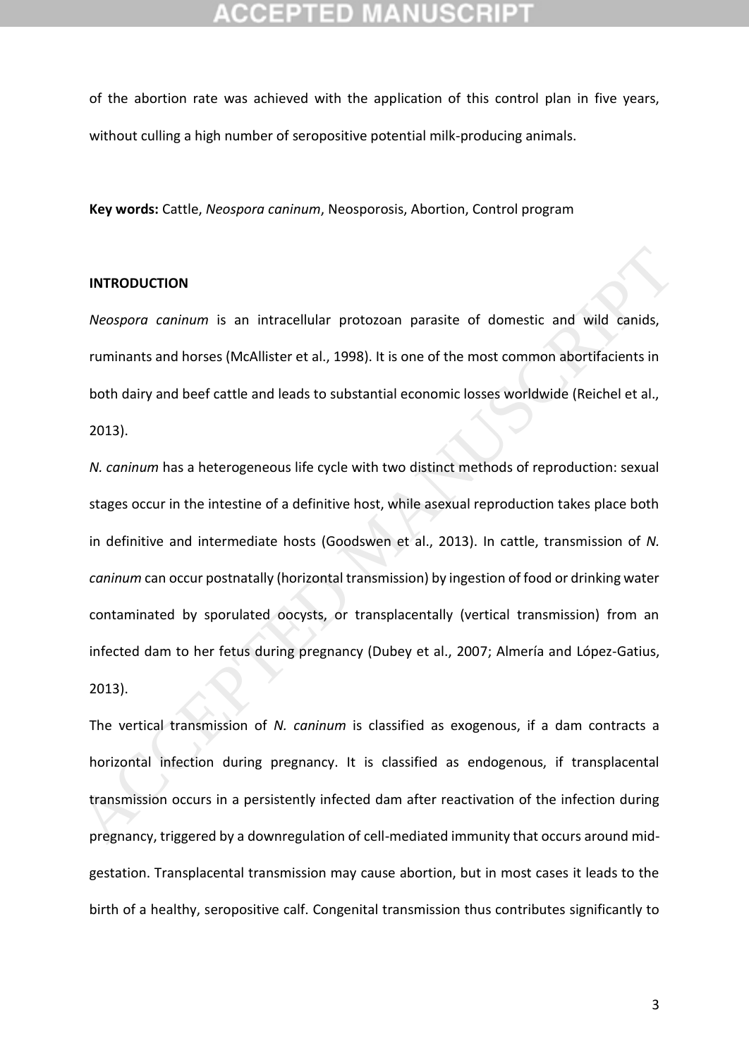of the abortion rate was achieved with the application of this control plan in five years, without culling a high number of seropositive potential milk-producing animals.

**Key words:** Cattle, *Neospora caninum*, Neosporosis, Abortion, Control program

### **INTRODUCTION**

*Neospora caninum* is an intracellular protozoan parasite of domestic and wild canids, ruminants and horses (McAllister et al., 1998). It is one of the most common abortifacients in both dairy and beef cattle and leads to substantial economic losses worldwide (Reichel et al., 2013).

*N. caninum* has a heterogeneous life cycle with two distinct methods of reproduction: sexual stages occur in the intestine of a definitive host, while asexual reproduction takes place both in definitive and intermediate hosts (Goodswen et al., 2013). In cattle, transmission of *N. caninum* can occur postnatally (horizontal transmission) by ingestion of food or drinking water contaminated by sporulated oocysts, or transplacentally (vertical transmission) from an infected dam to her fetus during pregnancy (Dubey et al., 2007; Almería and López-Gatius, 2013). INTRODUCTION<br> *Neospora caninum* is an intracellular protozoan parasite of domestic and wild canids,<br>
ruminants and horses (McAllister et al., 1998). It is one of the most common abortifacients in<br>
both dairy and beef catt

The vertical transmission of *N. caninum* is classified as exogenous, if a dam contracts a horizontal infection during pregnancy. It is classified as endogenous, if transplacental transmission occurs in a persistently infected dam after reactivation of the infection during pregnancy, triggered by a downregulation of cell-mediated immunity that occurs around midgestation. Transplacental transmission may cause abortion, but in most cases it leads to the birth of a healthy, seropositive calf. Congenital transmission thus contributes significantly to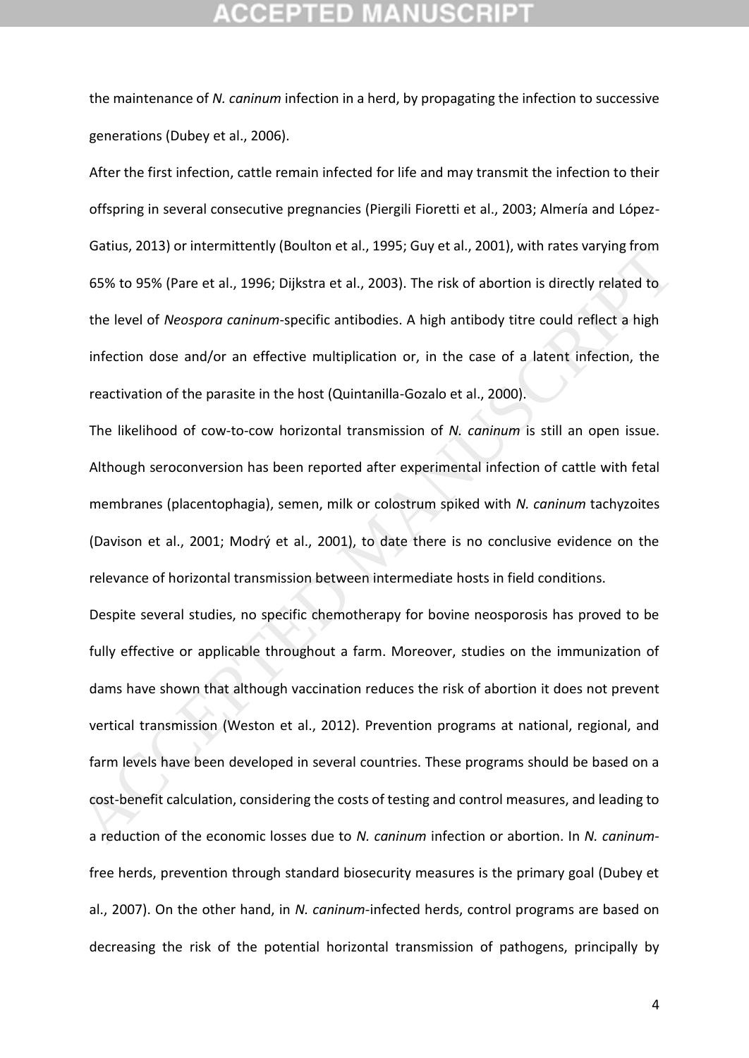the maintenance of *N. caninum* infection in a herd, by propagating the infection to successive generations (Dubey et al., 2006).

After the first infection, cattle remain infected for life and may transmit the infection to their offspring in several consecutive pregnancies (Piergili Fioretti et al., 2003; Almería and López-Gatius, 2013) or intermittently (Boulton et al., 1995; Guy et al., 2001), with rates varying from 65% to 95% (Pare et al., 1996; Dijkstra et al., 2003). The risk of abortion is directly related to the level of *Neospora caninum*-specific antibodies. A high antibody titre could reflect a high infection dose and/or an effective multiplication or, in the case of a latent infection, the reactivation of the parasite in the host (Quintanilla-Gozalo et al., 2000).

The likelihood of cow-to-cow horizontal transmission of *N. caninum* is still an open issue. Although seroconversion has been reported after experimental infection of cattle with fetal membranes (placentophagia), semen, milk or colostrum spiked with *N. caninum* tachyzoites (Davison et al., 2001; Modrý et al., 2001), to date there is no conclusive evidence on the relevance of horizontal transmission between intermediate hosts in field conditions.

Despite several studies, no specific chemotherapy for bovine neosporosis has proved to be fully effective or applicable throughout a farm. Moreover, studies on the immunization of dams have shown that although vaccination reduces the risk of abortion it does not prevent vertical transmission (Weston et al., 2012). Prevention programs at national, regional, and farm levels have been developed in several countries. These programs should be based on a cost-benefit calculation, considering the costs of testing and control measures, and leading to a reduction of the economic losses due to *N. caninum* infection or abortion. In *N. caninum*free herds, prevention through standard biosecurity measures is the primary goal (Dubey et al., 2007). On the other hand, in *N. caninum*-infected herds, control programs are based on decreasing the risk of the potential horizontal transmission of pathogens, principally by datus, 2013) of interimitentity (bountoiret al., 1995), duy et al., 2001), With rates varying right<br>65% to 95% (Pare et al., 1996; Dijkstra et al., 2003). The risk of abortion is directly related to<br>the level of *Neosporo*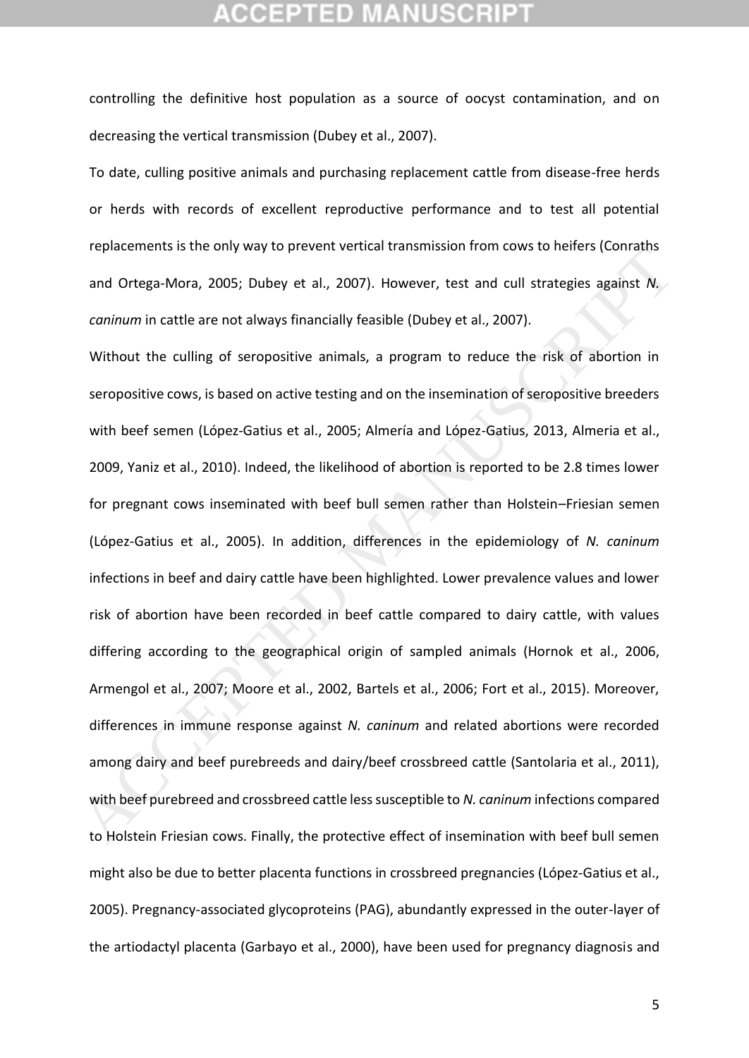controlling the definitive host population as a source of oocyst contamination, and on decreasing the vertical transmission (Dubey et al., 2007).

To date, culling positive animals and purchasing replacement cattle from disease-free herds or herds with records of excellent reproductive performance and to test all potential replacements is the only way to prevent vertical transmission from cows to heifers (Conraths and Ortega-Mora, 2005; Dubey et al., 2007). However, test and cull strategies against *N. caninum* in cattle are not always financially feasible (Dubey et al., 2007).

Without the culling of seropositive animals, a program to reduce the risk of abortion in seropositive cows, is based on active testing and on the insemination of seropositive breeders with beef semen (López‐Gatius et al., 2005; Almería and López-Gatius, 2013, Almeria et al., 2009, Yaniz et al., 2010). Indeed, the likelihood of abortion is reported to be 2.8 times lower for pregnant cows inseminated with beef bull semen rather than Holstein–Friesian semen (López‐Gatius et al., 2005). In addition, differences in the epidemiology of *N. caninum* infections in beef and dairy cattle have been highlighted. Lower prevalence values and lower risk of abortion have been recorded in beef cattle compared to dairy cattle, with values differing according to the geographical origin of sampled animals (Hornok et al., 2006, Armengol et al., 2007; Moore et al., 2002, Bartels et al., 2006; Fort et al., 2015). Moreover, differences in immune response against *N. caninum* and related abortions were recorded among dairy and beef purebreeds and dairy/beef crossbreed cattle (Santolaria et al., 2011), with beef purebreed and crossbreed cattle less susceptible to *N. caninum* infections compared to Holstein Friesian cows. Finally, the protective effect of insemination with beef bull semen might also be due to better placenta functions in crossbreed pregnancies (López‐Gatius et al., 2005). Pregnancy-associated glycoproteins (PAG), abundantly expressed in the outer-layer of the artiodactyl placenta (Garbayo et al., 2000), have been used for pregnancy diagnosis and replacements is the only way to prevent vertical transmission from cows to neites (coinciums)<br>and Ortega-Mora, 2005; Dubey et al., 2007). However, test and cull strategies against N,<br>caninum in cattle are not always financ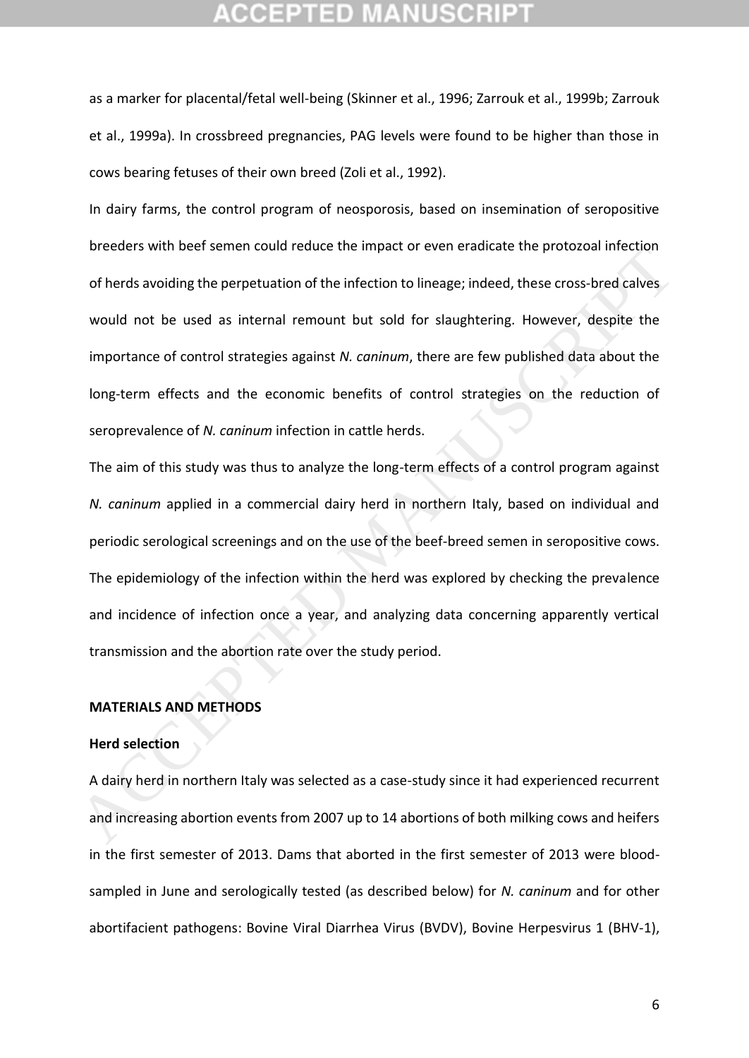as a marker for placental/fetal well-being (Skinner et al., 1996; Zarrouk et al., 1999b; Zarrouk et al., 1999a). In crossbreed pregnancies, PAG levels were found to be higher than those in cows bearing fetuses of their own breed (Zoli et al., 1992).

In dairy farms, the control program of neosporosis, based on insemination of seropositive breeders with beef semen could reduce the impact or even eradicate the protozoal infection of herds avoiding the perpetuation of the infection to lineage; indeed, these cross-bred calves would not be used as internal remount but sold for slaughtering. However, despite the importance of control strategies against *N. caninum*, there are few published data about the long-term effects and the economic benefits of control strategies on the reduction of seroprevalence of *N. caninum* infection in cattle herds.

The aim of this study was thus to analyze the long-term effects of a control program against *N. caninum* applied in a commercial dairy herd in northern Italy, based on individual and periodic serological screenings and on the use of the beef-breed semen in seropositive cows. The epidemiology of the infection within the herd was explored by checking the prevalence and incidence of infection once a year, and analyzing data concerning apparently vertical transmission and the abortion rate over the study period. Dreeders with beet sentent could reduce the impact of event eraducate the protozoal infection<br>of herds avoiding the perpetuation of the infection to lineage; indeed, these cross-bred calves<br>would not be used as internal re

### **MATERIALS AND METHODS**

### **Herd selection**

A dairy herd in northern Italy was selected as a case-study since it had experienced recurrent and increasing abortion events from 2007 up to 14 abortions of both milking cows and heifers in the first semester of 2013. Dams that aborted in the first semester of 2013 were bloodsampled in June and serologically tested (as described below) for *N. caninum* and for other abortifacient pathogens: Bovine Viral Diarrhea Virus (BVDV), Bovine Herpesvirus 1 (BHV-1),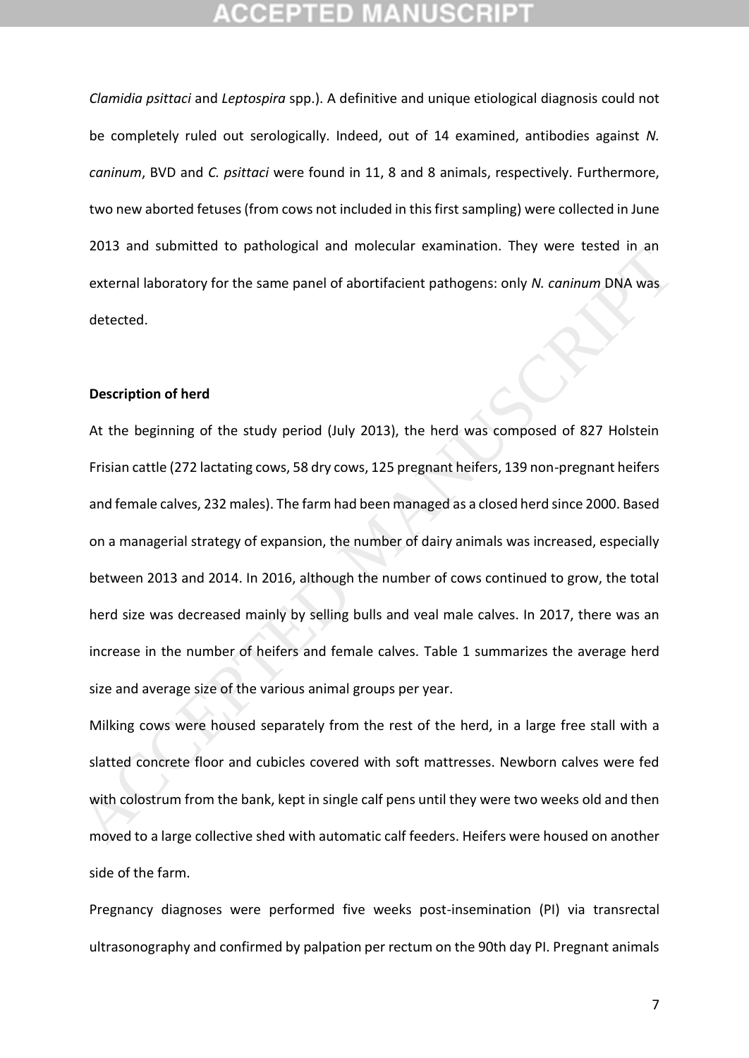*Clamidia psittaci* and *Leptospira* spp.). A definitive and unique etiological diagnosis could not be completely ruled out serologically. Indeed, out of 14 examined, antibodies against *N. caninum*, BVD and *C. psittaci* were found in 11, 8 and 8 animals, respectively. Furthermore, two new aborted fetuses (from cows not included in this first sampling) were collected in June 2013 and submitted to pathological and molecular examination. They were tested in an external laboratory for the same panel of abortifacient pathogens: only *N. caninum* DNA was detected.

### **Description of herd**

At the beginning of the study period (July 2013), the herd was composed of 827 Holstein Frisian cattle (272 lactating cows, 58 dry cows, 125 pregnant heifers, 139 non-pregnant heifers and female calves, 232 males). The farm had been managed as a closed herd since 2000. Based on a managerial strategy of expansion, the number of dairy animals was increased, especially between 2013 and 2014. In 2016, although the number of cows continued to grow, the total herd size was decreased mainly by selling bulls and veal male calves. In 2017, there was an increase in the number of heifers and female calves. Table 1 summarizes the average herd size and average size of the various animal groups per year. 2013 and submitted to paintological and intelection examination. They were rested in all<br>external laboratory for the same panel of abortifacient pathogens: only N. *caninum* DNA was<br>detected.<br>At the beginning of the study

Milking cows were housed separately from the rest of the herd, in a large free stall with a slatted concrete floor and cubicles covered with soft mattresses. Newborn calves were fed with colostrum from the bank, kept in single calf pens until they were two weeks old and then moved to a large collective shed with automatic calf feeders. Heifers were housed on another side of the farm.

Pregnancy diagnoses were performed five weeks post-insemination (PI) via transrectal ultrasonography and confirmed by palpation per rectum on the 90th day PI. Pregnant animals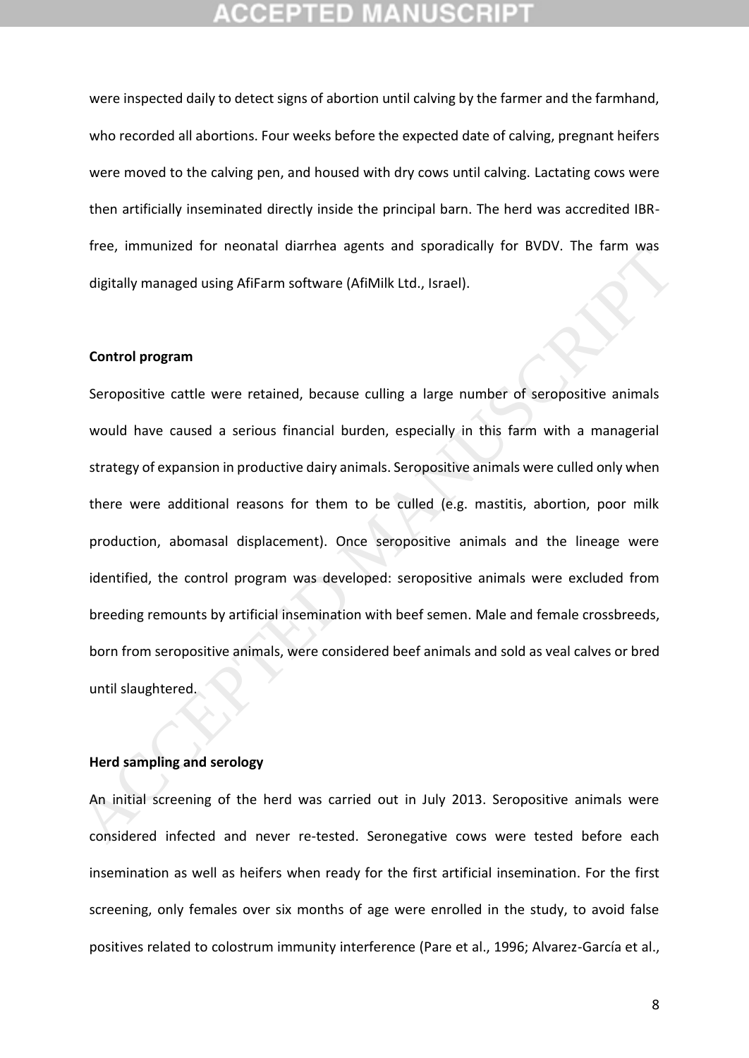were inspected daily to detect signs of abortion until calving by the farmer and the farmhand, who recorded all abortions. Four weeks before the expected date of calving, pregnant heifers were moved to the calving pen, and housed with dry cows until calving. Lactating cows were then artificially inseminated directly inside the principal barn. The herd was accredited IBRfree, immunized for neonatal diarrhea agents and sporadically for BVDV. The farm was digitally managed using AfiFarm software (AfiMilk Ltd., Israel).

### **Control program**

Seropositive cattle were retained, because culling a large number of seropositive animals would have caused a serious financial burden, especially in this farm with a managerial strategy of expansion in productive dairy animals. Seropositive animals were culled only when there were additional reasons for them to be culled (e.g. mastitis, abortion, poor milk production, abomasal displacement). Once seropositive animals and the lineage were identified, the control program was developed: seropositive animals were excluded from breeding remounts by artificial insemination with beef semen. Male and female crossbreeds, born from seropositive animals, were considered beef animals and sold as veal calves or bred until slaughtered. riee, infinitioned for inebitata traininea agents and sporantiany for bvov. The family was<br>digitally managed using AfiFarm software (AfiMilk Ltd., Israel).<br>Control program<br>Seropositive cattle were retained, because culling

### **Herd sampling and serology**

An initial screening of the herd was carried out in July 2013. Seropositive animals were considered infected and never re-tested. Seronegative cows were tested before each insemination as well as heifers when ready for the first artificial insemination. For the first screening, only females over six months of age were enrolled in the study, to avoid false positives related to colostrum immunity interference (Pare et al., 1996; Alvarez-García et al.,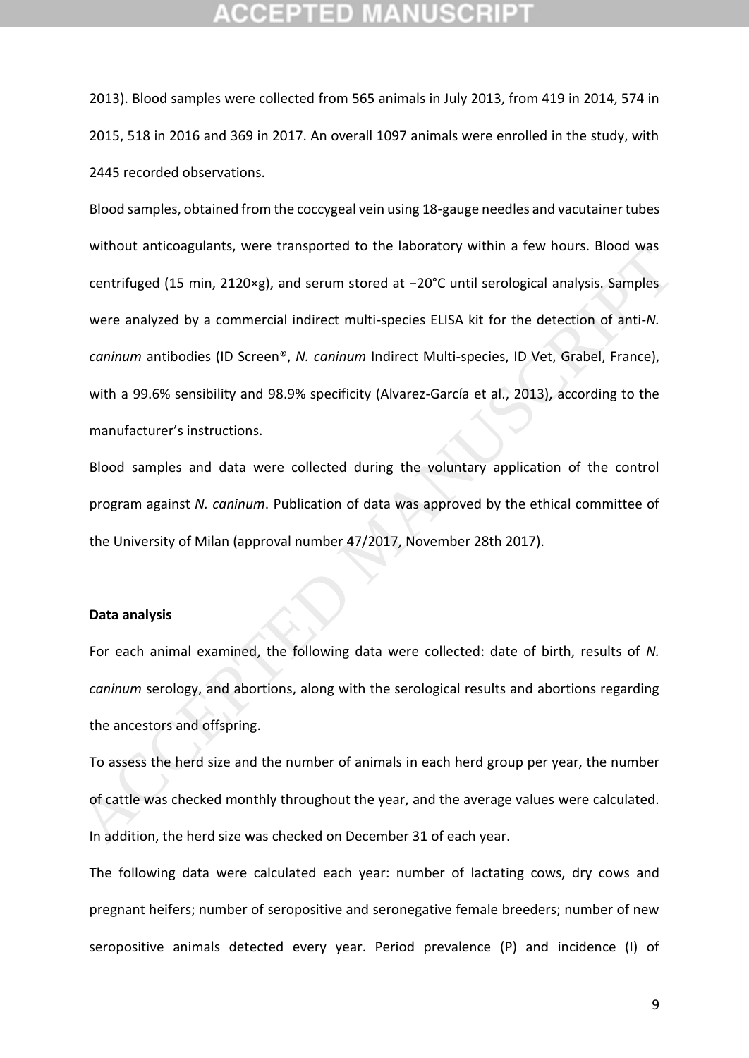2013). Blood samples were collected from 565 animals in July 2013, from 419 in 2014, 574 in 2015, 518 in 2016 and 369 in 2017. An overall 1097 animals were enrolled in the study, with 2445 recorded observations.

Blood samples, obtained from the coccygeal vein using 18-gauge needles and vacutainer tubes without anticoagulants, were transported to the laboratory within a few hours. Blood was centrifuged (15 min, 2120×g), and serum stored at −20°C until serological analysis. Samples were analyzed by a commercial indirect multi-species ELISA kit for the detection of anti-*N. caninum* antibodies (ID Screen®, *N. caninum* Indirect Multi-species, ID Vet, Grabel, France), with a 99.6% sensibility and 98.9% specificity (Alvarez-García et al., 2013), according to the manufacturer's instructions. winnote anticoagularins, were transported to the laboratory winnin a rew nours. Booto was<br>centrifuged (15 min, 2120xg), and serum stored at -20°C until serological analysis. Samples<br>were analyzed by a commercial indirect m

Blood samples and data were collected during the voluntary application of the control program against *N. caninum*. Publication of data was approved by the ethical committee of the University of Milan (approval number 47/2017, November 28th 2017).

### **Data analysis**

For each animal examined, the following data were collected: date of birth, results of *N. caninum* serology, and abortions, along with the serological results and abortions regarding the ancestors and offspring.

To assess the herd size and the number of animals in each herd group per year, the number of cattle was checked monthly throughout the year, and the average values were calculated. In addition, the herd size was checked on December 31 of each year.

The following data were calculated each year: number of lactating cows, dry cows and pregnant heifers; number of seropositive and seronegative female breeders; number of new seropositive animals detected every year. Period prevalence (P) and incidence (I) of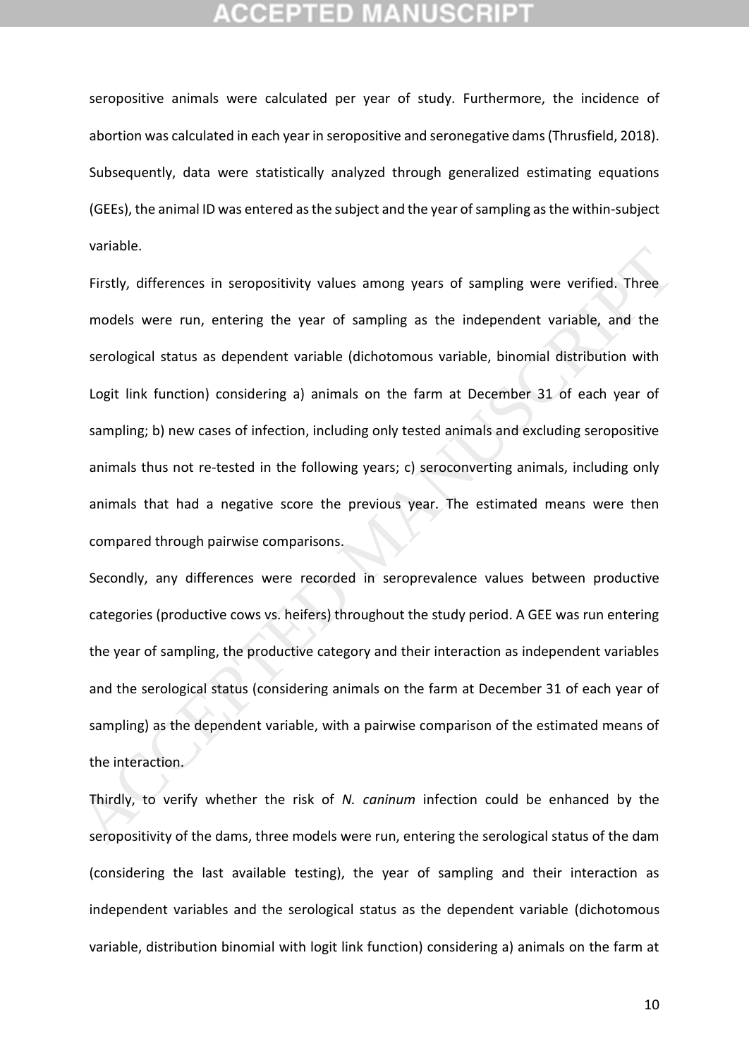seropositive animals were calculated per year of study. Furthermore, the incidence of abortion was calculated in each year in seropositive and seronegative dams (Thrusfield, 2018). Subsequently, data were statistically analyzed through generalized estimating equations (GEEs), the animal ID was entered as the subject and the year of sampling as the within-subject variable.

Firstly, differences in seropositivity values among years of sampling were verified. Three models were run, entering the year of sampling as the independent variable, and the serological status as dependent variable (dichotomous variable, binomial distribution with Logit link function) considering a) animals on the farm at December 31 of each year of sampling; b) new cases of infection, including only tested animals and excluding seropositive animals thus not re-tested in the following years; c) seroconverting animals, including only animals that had a negative score the previous year. The estimated means were then compared through pairwise comparisons. Firstly, differences in seropositivity values among years of sampling were verified. Three<br>models were run, entering the year of sampling as the independent variable, and the<br>serological status as dependent variable (dicho

Secondly, any differences were recorded in seroprevalence values between productive categories (productive cows vs. heifers) throughout the study period. A GEE was run entering the year of sampling, the productive category and their interaction as independent variables and the serological status (considering animals on the farm at December 31 of each year of sampling) as the dependent variable, with a pairwise comparison of the estimated means of the interaction.

Thirdly, to verify whether the risk of *N. caninum* infection could be enhanced by the seropositivity of the dams, three models were run, entering the serological status of the dam (considering the last available testing), the year of sampling and their interaction as independent variables and the serological status as the dependent variable (dichotomous variable, distribution binomial with logit link function) considering a) animals on the farm at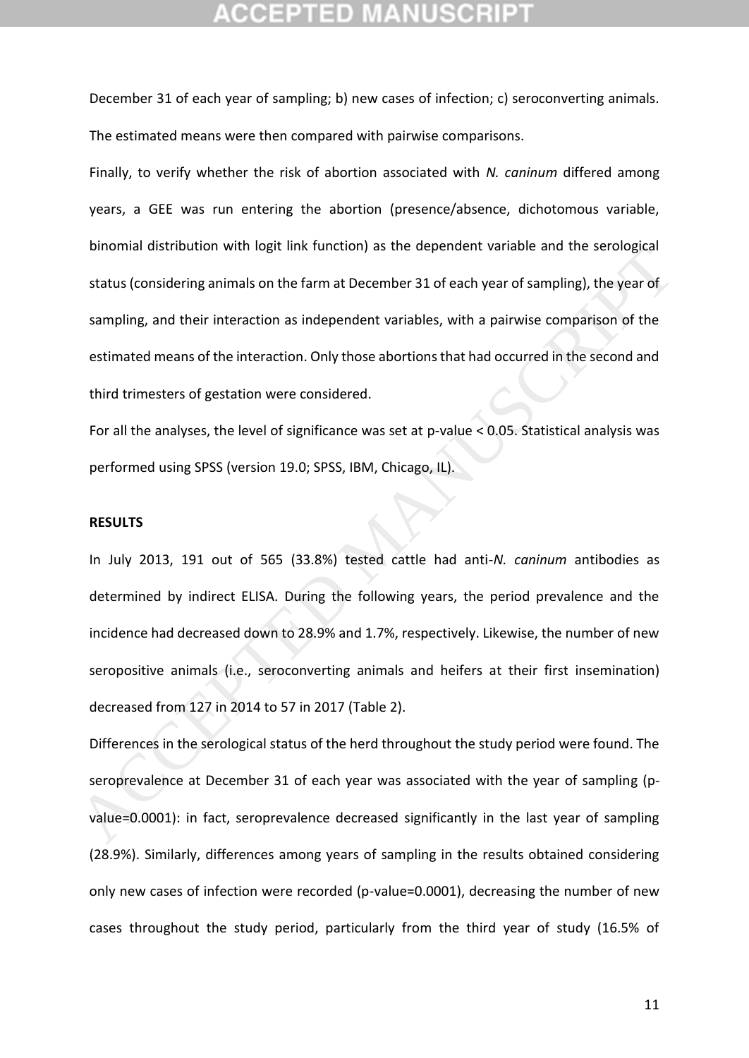December 31 of each year of sampling; b) new cases of infection; c) seroconverting animals. The estimated means were then compared with pairwise comparisons.

Finally, to verify whether the risk of abortion associated with *N. caninum* differed among years, a GEE was run entering the abortion (presence/absence, dichotomous variable, binomial distribution with logit link function) as the dependent variable and the serological status (considering animals on the farm at December 31 of each year of sampling), the year of sampling, and their interaction as independent variables, with a pairwise comparison of the estimated means of the interaction. Only those abortions that had occurred in the second and third trimesters of gestation were considered.

For all the analyses, the level of significance was set at p-value < 0.05. Statistical analysis was performed using SPSS (version 19.0; SPSS, IBM, Chicago, IL).

### **RESULTS**

In July 2013, 191 out of 565 (33.8%) tested cattle had anti-*N. caninum* antibodies as determined by indirect ELISA. During the following years, the period prevalence and the incidence had decreased down to 28.9% and 1.7%, respectively. Likewise, the number of new seropositive animals (i.e., seroconverting animals and heifers at their first insemination) decreased from 127 in 2014 to 57 in 2017 (Table 2). binomial ustainbution with logit limit dinction) as the dependent variable and the serological<br>status (considering animals on the farm at December 31 of each year of sampling), the year of<br>sampling, and their interaction a

Differences in the serological status of the herd throughout the study period were found. The seroprevalence at December 31 of each year was associated with the year of sampling (pvalue=0.0001): in fact, seroprevalence decreased significantly in the last year of sampling (28.9%). Similarly, differences among years of sampling in the results obtained considering only new cases of infection were recorded (p-value=0.0001), decreasing the number of new cases throughout the study period, particularly from the third year of study (16.5% of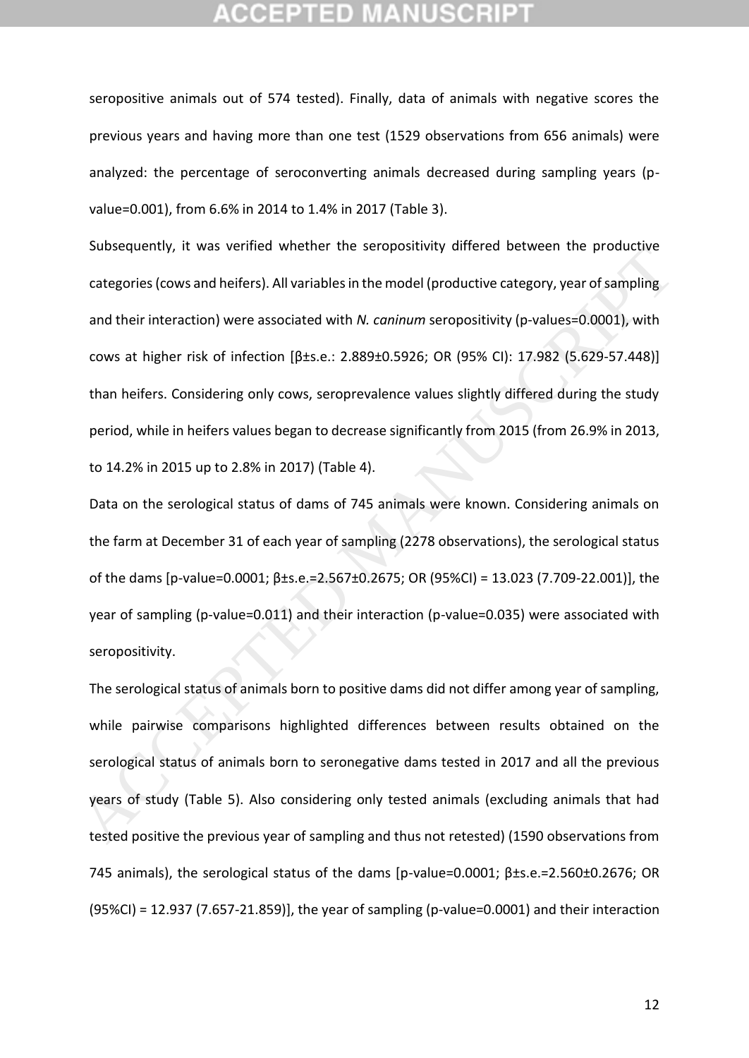seropositive animals out of 574 tested). Finally, data of animals with negative scores the previous years and having more than one test (1529 observations from 656 animals) were analyzed: the percentage of seroconverting animals decreased during sampling years (pvalue=0.001), from 6.6% in 2014 to 1.4% in 2017 (Table 3).

Subsequently, it was verified whether the seropositivity differed between the productive categories (cows and heifers). All variables in the model (productive category, year of sampling and their interaction) were associated with *N. caninum* seropositivity (p-values=0.0001), with cows at higher risk of infection [β±s.e.: 2.889±0.5926; OR (95% CI): 17.982 (5.629-57.448)] than heifers. Considering only cows, seroprevalence values slightly differed during the study period, while in heifers values began to decrease significantly from 2015 (from 26.9% in 2013, to 14.2% in 2015 up to 2.8% in 2017) (Table 4). subsequentry, it was ventiled wiletiter the set opositivity differed between the productive<br>categories (cows and helifers). All variables in the model (productive category, year of sampling<br>and their interaction) were asso

Data on the serological status of dams of 745 animals were known. Considering animals on the farm at December 31 of each year of sampling (2278 observations), the serological status of the dams [p-value=0.0001; β±s.e.=2.567±0.2675; OR (95%CI) = 13.023 (7.709-22.001)], the year of sampling (p-value=0.011) and their interaction (p-value=0.035) were associated with seropositivity.

The serological status of animals born to positive dams did not differ among year of sampling, while pairwise comparisons highlighted differences between results obtained on the serological status of animals born to seronegative dams tested in 2017 and all the previous years of study (Table 5). Also considering only tested animals (excluding animals that had tested positive the previous year of sampling and thus not retested) (1590 observations from 745 animals), the serological status of the dams [p-value=0.0001;  $\beta$ ±s.e.=2.560±0.2676; OR (95%CI) = 12.937 (7.657-21.859)], the year of sampling (p-value=0.0001) and their interaction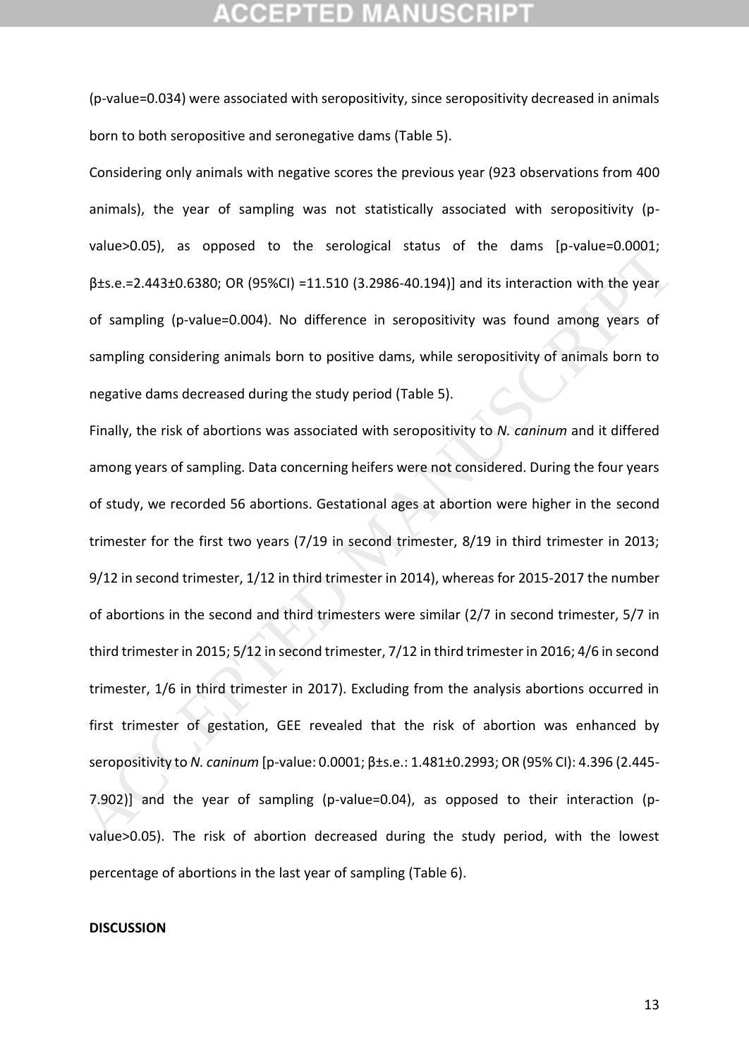(p-value=0.034) were associated with seropositivity, since seropositivity decreased in animals born to both seropositive and seronegative dams (Table 5).

Considering only animals with negative scores the previous year (923 observations from 400 animals), the year of sampling was not statistically associated with seropositivity (pvalue>0.05), as opposed to the serological status of the dams [p-value=0.0001; β±s.e.=2.443±0.6380; OR (95%CI) =11.510 (3.2986-40.194)] and its interaction with the year of sampling (p-value=0.004). No difference in seropositivity was found among years of sampling considering animals born to positive dams, while seropositivity of animals born to negative dams decreased during the study period (Table 5).

Finally, the risk of abortions was associated with seropositivity to *N. caninum* and it differed among years of sampling. Data concerning heifers were not considered. During the four years of study, we recorded 56 abortions. Gestational ages at abortion were higher in the second trimester for the first two years (7/19 in second trimester, 8/19 in third trimester in 2013; 9/12 in second trimester, 1/12 in third trimester in 2014), whereas for 2015-2017 the number of abortions in the second and third trimesters were similar (2/7 in second trimester, 5/7 in third trimester in 2015; 5/12 in second trimester, 7/12 in third trimester in 2016; 4/6 in second trimester, 1/6 in third trimester in 2017). Excluding from the analysis abortions occurred in first trimester of gestation, GEE revealed that the risk of abortion was enhanced by seropositivity to *N. caninum* [p-value: 0.0001; β±s.e.: 1.481±0.2993; OR (95% CI): 4.396 (2.445- 7.902)] and the year of sampling (p-value=0.04), as opposed to their interaction (pvalue>0.05). The risk of abortion decreased during the study period, with the lowest percentage of abortions in the last year of sampling (Table 6). value-2005), as opposed to the serological statis of the damis (p-value-200001,<br>  $\beta$ ±s.e.=2.443±0.6380; OR (95%Cl) =1.1.510 (3.2986-40.194)] and its interaction with the year<br>
of sampling (p-value-0.004). No difference i

### **DISCUSSION**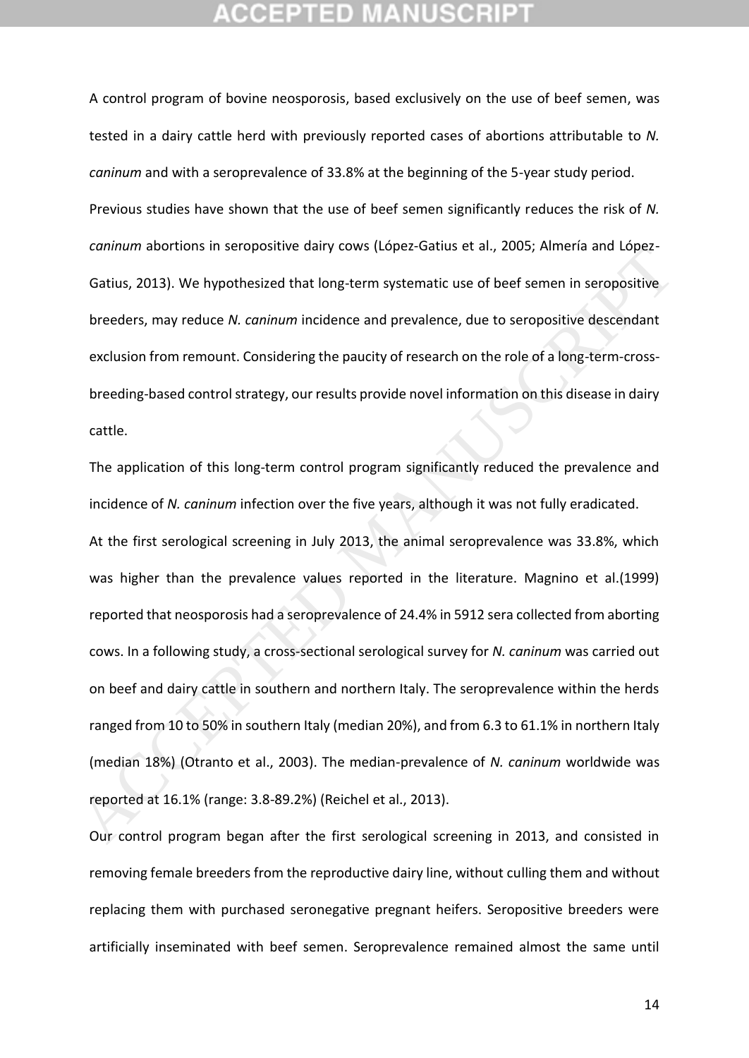A control program of bovine neosporosis, based exclusively on the use of beef semen, was tested in a dairy cattle herd with previously reported cases of abortions attributable to *N. caninum* and with a seroprevalence of 33.8% at the beginning of the 5-year study period. Previous studies have shown that the use of beef semen significantly reduces the risk of *N. caninum* abortions in seropositive dairy cows (López‐Gatius et al., 2005; Almería and López-Gatius, 2013). We hypothesized that long-term systematic use of beef semen in seropositive breeders, may reduce *N. caninum* incidence and prevalence, due to seropositive descendant exclusion from remount. Considering the paucity of research on the role of a long-term-crossbreeding-based control strategy, our results provide novel information on this disease in dairy cattle.

The application of this long-term control program significantly reduced the prevalence and incidence of *N. caninum* infection over the five years, although it was not fully eradicated. At the first serological screening in July 2013, the animal seroprevalence was 33.8%, which was higher than the prevalence values reported in the literature. Magnino et al.(1999) reported that neosporosis had a seroprevalence of 24.4% in 5912 sera collected from aborting cows. In a following study, a cross-sectional serological survey for *N. caninum* was carried out on beef and dairy cattle in southern and northern Italy. The seroprevalence within the herds ranged from 10 to 50% in southern Italy (median 20%), and from 6.3 to 61.1% in northern Italy (median 18%) (Otranto et al., 2003). The median-prevalence of *N. caninum* worldwide was reported at 16.1% (range: 3.8-89.2%) (Reichel et al., 2013). Cantinum adottolis in setopositive daily cows (copez-datus et al., 2005, Alfriend and copez-<br>Gatius, 2013). We hypothesized that long-term systematic use of beef semen in seropositive<br>breeders, may reduce *N. coninum* inci

Our control program began after the first serological screening in 2013, and consisted in removing female breeders from the reproductive dairy line, without culling them and without replacing them with purchased seronegative pregnant heifers. Seropositive breeders were artificially inseminated with beef semen. Seroprevalence remained almost the same until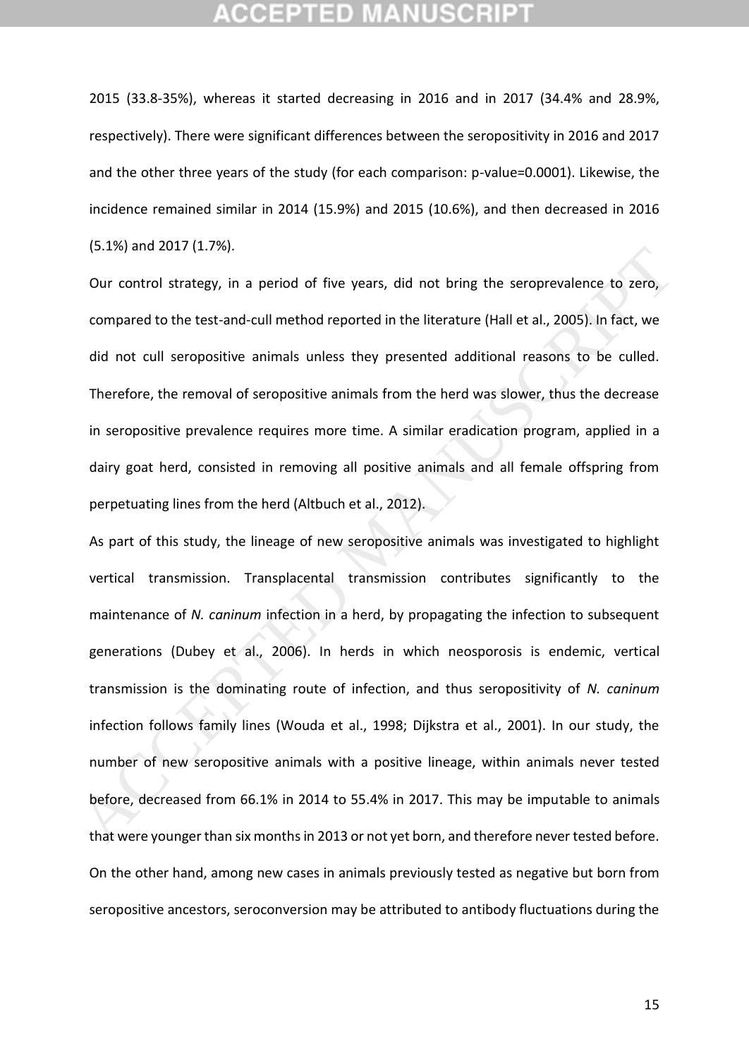2015 (33.8-35%), whereas it started decreasing in 2016 and in 2017 (34.4% and 28.9%, respectively). There were significant differences between the seropositivity in 2016 and 2017 and the other three years of the study (for each comparison: p-value=0.0001). Likewise, the incidence remained similar in 2014 (15.9%) and 2015 (10.6%), and then decreased in 2016 (5.1%) and 2017 (1.7%).

Our control strategy, in a period of five years, did not bring the seroprevalence to zero, compared to the test-and-cull method reported in the literature (Hall et al., 2005). In fact, we did not cull seropositive animals unless they presented additional reasons to be culled. Therefore, the removal of seropositive animals from the herd was slower, thus the decrease in seropositive prevalence requires more time. A similar eradication program, applied in a dairy goat herd, consisted in removing all positive animals and all female offspring from perpetuating lines from the herd (Altbuch et al., 2012).

As part of this study, the lineage of new seropositive animals was investigated to highlight vertical transmission. Transplacental transmission contributes significantly to the maintenance of *N. caninum* infection in a herd, by propagating the infection to subsequent generations (Dubey et al., 2006). In herds in which neosporosis is endemic, vertical transmission is the dominating route of infection, and thus seropositivity of *N. caninum* infection follows family lines (Wouda et al., 1998; Dijkstra et al., 2001). In our study, the number of new seropositive animals with a positive lineage, within animals never tested before, decreased from 66.1% in 2014 to 55.4% in 2017. This may be imputable to animals that were younger than six months in 2013 or not yet born, and therefore never tested before. On the other hand, among new cases in animals previously tested as negative but born from seropositive ancestors, seroconversion may be attributed to antibody fluctuations during the (3.1%) and 2017 (1.7%).<br>
Our control strategy, in a period of five years, did not bring the seroprevalence to zero,<br>
compared to the test-and-cull method reported in the literature (Hall et al., 2005). In fact, we<br>
did no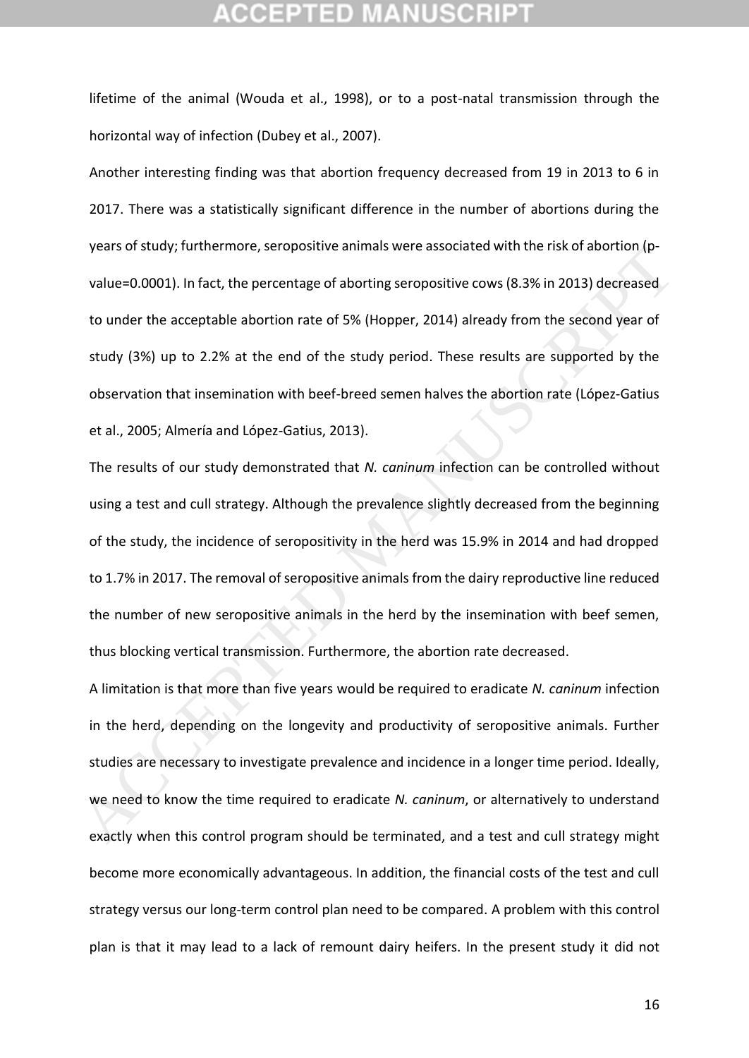lifetime of the animal (Wouda et al., 1998), or to a post-natal transmission through the horizontal way of infection (Dubey et al., 2007).

Another interesting finding was that abortion frequency decreased from 19 in 2013 to 6 in 2017. There was a statistically significant difference in the number of abortions during the years of study; furthermore, seropositive animals were associated with the risk of abortion (pvalue=0.0001). In fact, the percentage of aborting seropositive cows (8.3% in 2013) decreased to under the acceptable abortion rate of 5% (Hopper, 2014) already from the second year of study (3%) up to 2.2% at the end of the study period. These results are supported by the observation that insemination with beef-breed semen halves the abortion rate (López‐Gatius et al., 2005; Almería and López-Gatius, 2013).

The results of our study demonstrated that *N. caninum* infection can be controlled without using a test and cull strategy. Although the prevalence slightly decreased from the beginning of the study, the incidence of seropositivity in the herd was 15.9% in 2014 and had dropped to 1.7% in 2017. The removal of seropositive animals from the dairy reproductive line reduced the number of new seropositive animals in the herd by the insemination with beef semen, thus blocking vertical transmission. Furthermore, the abortion rate decreased. years of study, furturelmore, seropositive animals were associated with the risk of abolitority-<br>value=0.0001). In fact, the percentage of aborting seropositive cows (8.3% in 2013) decreased<br>to under the acceptable abortio

A limitation is that more than five years would be required to eradicate *N. caninum* infection in the herd, depending on the longevity and productivity of seropositive animals. Further studies are necessary to investigate prevalence and incidence in a longer time period. Ideally, we need to know the time required to eradicate *N. caninum*, or alternatively to understand exactly when this control program should be terminated, and a test and cull strategy might become more economically advantageous. In addition, the financial costs of the test and cull strategy versus our long-term control plan need to be compared. A problem with this control plan is that it may lead to a lack of remount dairy heifers. In the present study it did not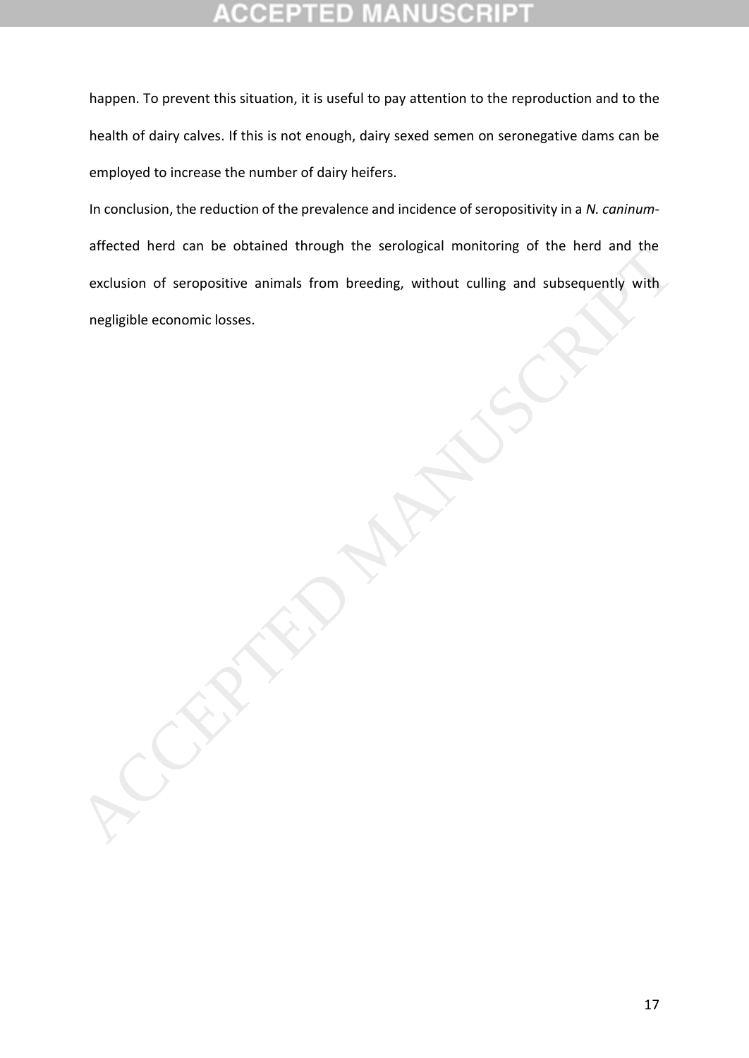# **CEPTED**

happen. To prevent this situation, it is useful to pay attention to the reproduction and to the health of dairy calves. If this is not enough, dairy sexed semen on seronegative dams can be employed to increase the number of dairy heifers.

In conclusion, the reduction of the prevalence and incidence of seropositivity in a *N. caninum*affected herd can be obtained through the serological monitoring of the herd and the exclusion of seropositive animals from breeding, without culling and subsequently with enected nerd can be obtained infolger the serological monitoring of the fierd and the<br>exclusion of seropositive animals from breeding, without culling and subsequently with<br>negligible economic losses.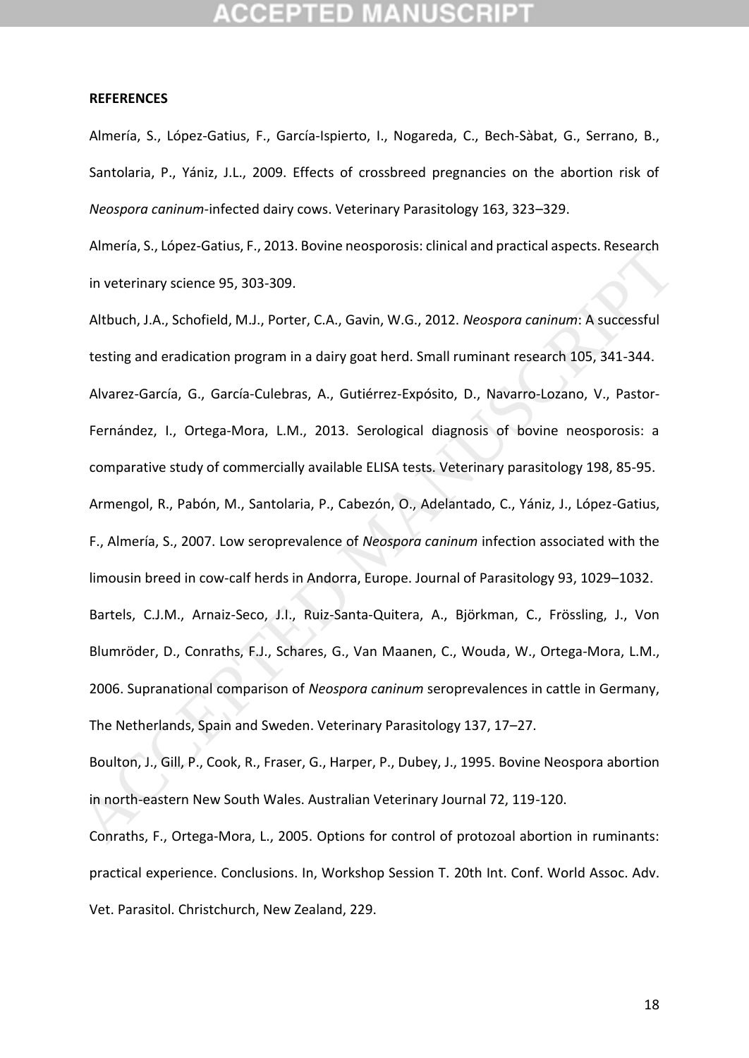### **REFERENCES**

Almería, S., López-Gatius, F., García-Ispierto, I., Nogareda, C., Bech-Sàbat, G., Serrano, B., Santolaria, P., Yániz, J.L., 2009. Effects of crossbreed pregnancies on the abortion risk of *Neospora caninum*-infected dairy cows. Veterinary Parasitology 163, 323–329.

Almería, S., López-Gatius, F., 2013. Bovine neosporosis: clinical and practical aspects. Research in veterinary science 95, 303-309.

Altbuch, J.A., Schofield, M.J., Porter, C.A., Gavin, W.G., 2012. *Neospora caninum*: A successful testing and eradication program in a dairy goat herd. Small ruminant research 105, 341-344. Alvarez-García, G., García-Culebras, A., Gutiérrez-Expósito, D., Navarro-Lozano, V., Pastor-Fernández, I., Ortega-Mora, L.M., 2013. Serological diagnosis of bovine neosporosis: a comparative study of commercially available ELISA tests. Veterinary parasitology 198, 85-95. Armengol, R., Pabón, M., Santolaria, P., Cabezón, O., Adelantado, C., Yániz, J., López-Gatius, F., Almería, S., 2007. Low seroprevalence of *Neospora caninum* infection associated with the limousin breed in cow-calf herds in Andorra, Europe. Journal of Parasitology 93, 1029–1032. Bartels, C.J.M., Arnaiz-Seco, J.I., Ruiz-Santa-Quitera, A., Björkman, C., Frössling, J., Von Blumröder, D., Conraths, F.J., Schares, G., Van Maanen, C., Wouda, W., Ortega-Mora, L.M., 2006. Supranational comparison of *Neospora caninum* seroprevalences in cattle in Germany, The Netherlands, Spain and Sweden. Veterinary Parasitology 137, 17–27. America, S., Lopez-Oactus, F., 2013. Bovine neosporosis. Cunited and plactical aspects. Research<br>
in veterinary science 95, 303-309.<br>
Altbuch, J.A., Schofield, M.J., Porter, C.A., Gavin, W.G., 2012. Neosporo coninum: A suc

Boulton, J., Gill, P., Cook, R., Fraser, G., Harper, P., Dubey, J., 1995. Bovine Neospora abortion in north‐eastern New South Wales. Australian Veterinary Journal 72, 119-120.

Conraths, F., Ortega-Mora, L., 2005. Options for control of protozoal abortion in ruminants: practical experience. Conclusions. In, Workshop Session T. 20th Int. Conf. World Assoc. Adv. Vet. Parasitol. Christchurch, New Zealand, 229.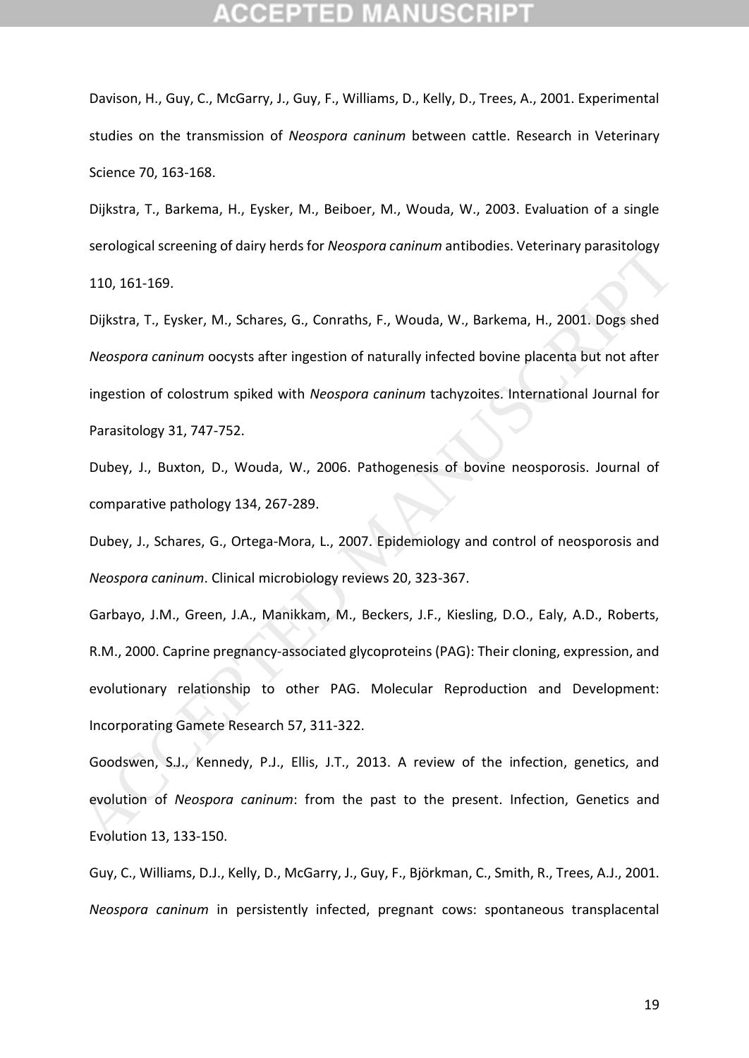Davison, H., Guy, C., McGarry, J., Guy, F., Williams, D., Kelly, D., Trees, A., 2001. Experimental studies on the transmission of *Neospora caninum* between cattle. Research in Veterinary Science 70, 163-168.

Dijkstra, T., Barkema, H., Eysker, M., Beiboer, M., Wouda, W., 2003. Evaluation of a single serological screening of dairy herds for *Neospora caninum* antibodies. Veterinary parasitology 110, 161-169.

Dijkstra, T., Eysker, M., Schares, G., Conraths, F., Wouda, W., Barkema, H., 2001. Dogs shed *Neospora caninum* oocysts after ingestion of naturally infected bovine placenta but not after ingestion of colostrum spiked with *Neospora caninum* tachyzoites. International Journal for Parasitology 31, 747-752. serological sceeding of darly fletds for webspora cummum antidiodies. Veterniary parasitology<br>
110, 161-169.<br>
Dijkstra, T., Eysker, M., Schares, G., Conraths, F., Wouda, W., Barkema, H., 2001. Dogs shed<br> *Neospora caninum* 

Dubey, J., Buxton, D., Wouda, W., 2006. Pathogenesis of bovine neosporosis. Journal of comparative pathology 134, 267-289.

Dubey, J., Schares, G., Ortega-Mora, L., 2007. Epidemiology and control of neosporosis and *Neospora caninum*. Clinical microbiology reviews 20, 323-367.

Garbayo, J.M., Green, J.A., Manikkam, M., Beckers, J.F., Kiesling, D.O., Ealy, A.D., Roberts, R.M., 2000. Caprine pregnancy‐associated glycoproteins (PAG): Their cloning, expression, and evolutionary relationship to other PAG. Molecular Reproduction and Development: Incorporating Gamete Research 57, 311-322.

Goodswen, S.J., Kennedy, P.J., Ellis, J.T., 2013. A review of the infection, genetics, and evolution of *Neospora caninum*: from the past to the present. Infection, Genetics and Evolution 13, 133-150.

Guy, C., Williams, D.J., Kelly, D., McGarry, J., Guy, F., Björkman, C., Smith, R., Trees, A.J., 2001. *Neospora caninum* in persistently infected, pregnant cows: spontaneous transplacental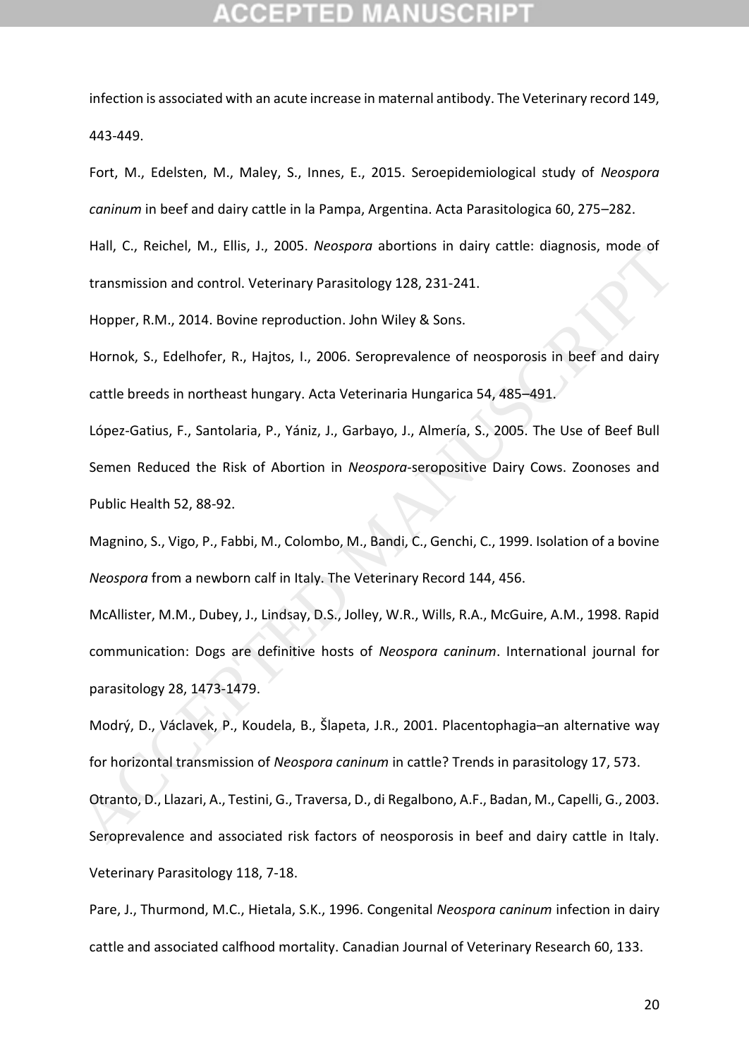infection is associated with an acute increase in maternal antibody. The Veterinary record 149, 443-449.

Fort, M., Edelsten, M., Maley, S., Innes, E., 2015. Seroepidemiological study of *Neospora caninum* in beef and dairy cattle in la Pampa, Argentina. Acta Parasitologica 60, 275–282.

Hall, C., Reichel, M., Ellis, J., 2005. *Neospora* abortions in dairy cattle: diagnosis, mode of transmission and control. Veterinary Parasitology 128, 231-241.

Hopper, R.M., 2014. Bovine reproduction. John Wiley & Sons.

Hornok, S., Edelhofer, R., Hajtos, I., 2006. Seroprevalence of neosporosis in beef and dairy cattle breeds in northeast hungary. Acta Veterinaria Hungarica 54, 485–491.

López‐Gatius, F., Santolaria, P., Yániz, J., Garbayo, J., Almería, S., 2005. The Use of Beef Bull Semen Reduced the Risk of Abortion in *Neospora*‐seropositive Dairy Cows. Zoonoses and Public Health 52, 88-92.

Magnino, S., Vigo, P., Fabbi, M., Colombo, M., Bandi, C., Genchi, C., 1999. Isolation of a bovine *Neospora* from a newborn calf in Italy. The Veterinary Record 144, 456.

McAllister, M.M., Dubey, J., Lindsay, D.S., Jolley, W.R., Wills, R.A., McGuire, A.M., 1998. Rapid communication: Dogs are definitive hosts of *Neospora caninum*. International journal for parasitology 28, 1473-1479. nali, C., helchel, mi, Ethis, J., 2003. Neosporo adottoms in darry catte. diagnosis, indue of<br>transmission and control. Veterinary Parasttology 128, 231-241.<br>Hopper, R.M., 2014. Bovine reproduction. John Wiley & Sons.<br>Horn

Modrý, D., Václavek, P., Koudela, B., Šlapeta, J.R., 2001. Placentophagia–an alternative way for horizontal transmission of *Neospora caninum* in cattle? Trends in parasitology 17, 573.

Otranto, D., Llazari, A., Testini, G., Traversa, D., di Regalbono, A.F., Badan, M., Capelli, G., 2003. Seroprevalence and associated risk factors of neosporosis in beef and dairy cattle in Italy. Veterinary Parasitology 118, 7-18.

Pare, J., Thurmond, M.C., Hietala, S.K., 1996. Congenital *Neospora caninum* infection in dairy cattle and associated calfhood mortality. Canadian Journal of Veterinary Research 60, 133.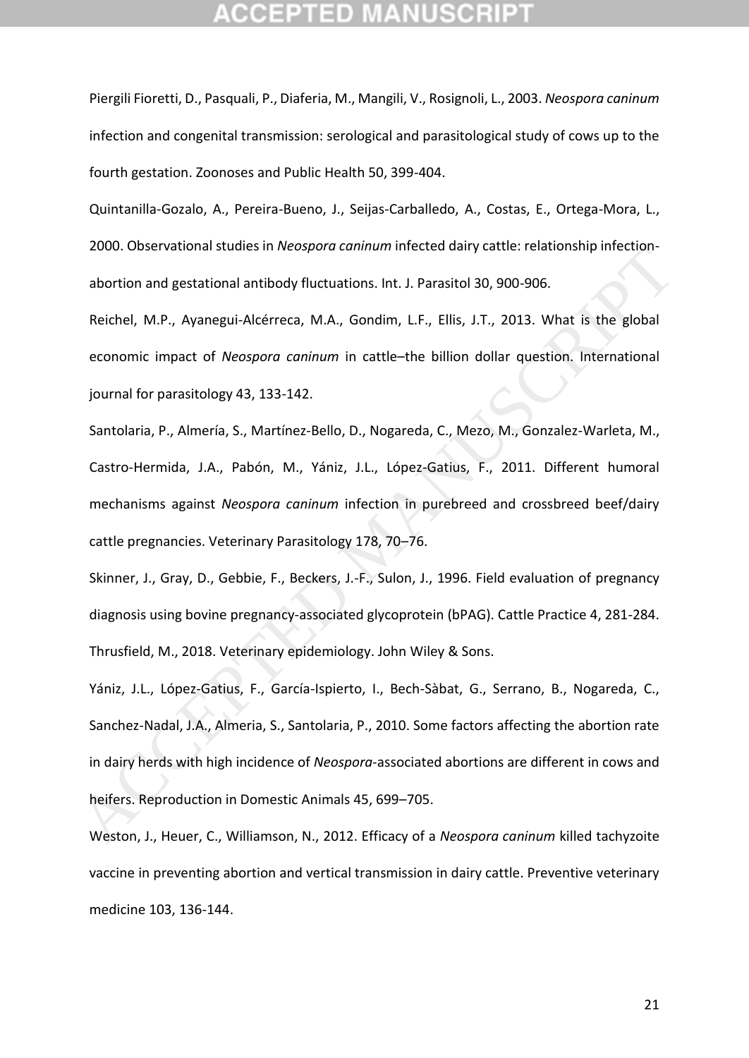Piergili Fioretti, D., Pasquali, P., Diaferia, M., Mangili, V., Rosignoli, L., 2003. *Neospora caninum*  infection and congenital transmission: serological and parasitological study of cows up to the fourth gestation. Zoonoses and Public Health 50, 399-404.

Quintanilla-Gozalo, A., Pereira-Bueno, J., Seijas-Carballedo, A., Costas, E., Ortega-Mora, L., 2000. Observational studies in *Neospora caninum* infected dairy cattle: relationship infectionabortion and gestational antibody fluctuations. Int. J. Parasitol 30, 900-906.

Reichel, M.P., Ayanegui-Alcérreca, M.A., Gondim, L.F., Ellis, J.T., 2013. What is the global economic impact of *Neospora caninum* in cattle–the billion dollar question. International journal for parasitology 43, 133-142.

Santolaria, P., Almería, S., Martínez-Bello, D., Nogareda, C., Mezo, M., Gonzalez-Warleta, M., Castro-Hermida, J.A., Pabón, M., Yániz, J.L., López-Gatius, F., 2011. Different humoral mechanisms against *Neospora caninum* infection in purebreed and crossbreed beef/dairy cattle pregnancies. Veterinary Parasitology 178, 70–76.

Skinner, J., Gray, D., Gebbie, F., Beckers, J.-F., Sulon, J., 1996. Field evaluation of pregnancy diagnosis using bovine pregnancy-associated glycoprotein (bPAG). Cattle Practice 4, 281-284. Thrusfield, M., 2018. Veterinary epidemiology. John Wiley & Sons.

Yániz, J.L., López-Gatius, F., García-Ispierto, I., Bech-Sàbat, G., Serrano, B., Nogareda, C., Sanchez-Nadal, J.A., Almeria, S., Santolaria, P., 2010. Some factors affecting the abortion rate in dairy herds with high incidence of *Neospora*-associated abortions are different in cows and heifers. Reproduction in Domestic Animals 45, 699–705. 2000. Ouselvationia studies in *Neospord Cummum* infected uairy catue: relationsing infection-<br>abortion and gestational antibody fluctuations. Int. J. Parasitol 30, 900-906.<br>Reichel, M.P., Ayanegui-Alcérreca, M.A., Gondim,

Weston, J., Heuer, C., Williamson, N., 2012. Efficacy of a *Neospora caninum* killed tachyzoite vaccine in preventing abortion and vertical transmission in dairy cattle. Preventive veterinary medicine 103, 136-144.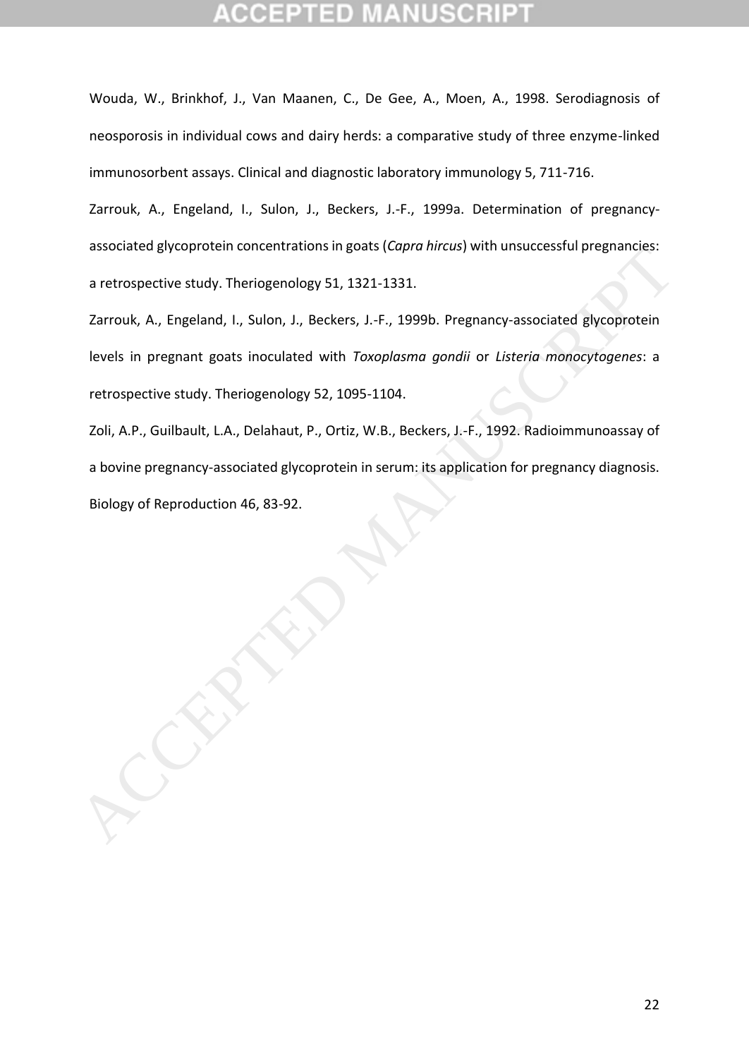Wouda, W., Brinkhof, J., Van Maanen, C., De Gee, A., Moen, A., 1998. Serodiagnosis of neosporosis in individual cows and dairy herds: a comparative study of three enzyme-linked immunosorbent assays. Clinical and diagnostic laboratory immunology 5, 711-716.

Zarrouk, A., Engeland, I., Sulon, J., Beckers, J.-F., 1999a. Determination of pregnancyassociated glycoprotein concentrations in goats (*Capra hircus*) with unsuccessful pregnancies: a retrospective study. Theriogenology 51, 1321-1331.

Zarrouk, A., Engeland, I., Sulon, J., Beckers, J.-F., 1999b. Pregnancy-associated glycoprotein levels in pregnant goats inoculated with *Toxoplasma gondii* or *Listeria monocytogenes*: a retrospective study. Theriogenology 52, 1095-1104. associated gyvenprotein toncentrations in goats (capiu nincas) with unsoccessiul pregnanties.<br>
a retrospective study. Theriogenology 51, 1321-1331.<br>
Zarrouk, A., Engeland, I., Sulon, J., Beckers, J.-F., 1999b. Pregnancy as

Zoli, A.P., Guilbault, L.A., Delahaut, P., Ortiz, W.B., Beckers, J.-F., 1992. Radioimmunoassay of a bovine pregnancy-associated glycoprotein in serum: its application for pregnancy diagnosis.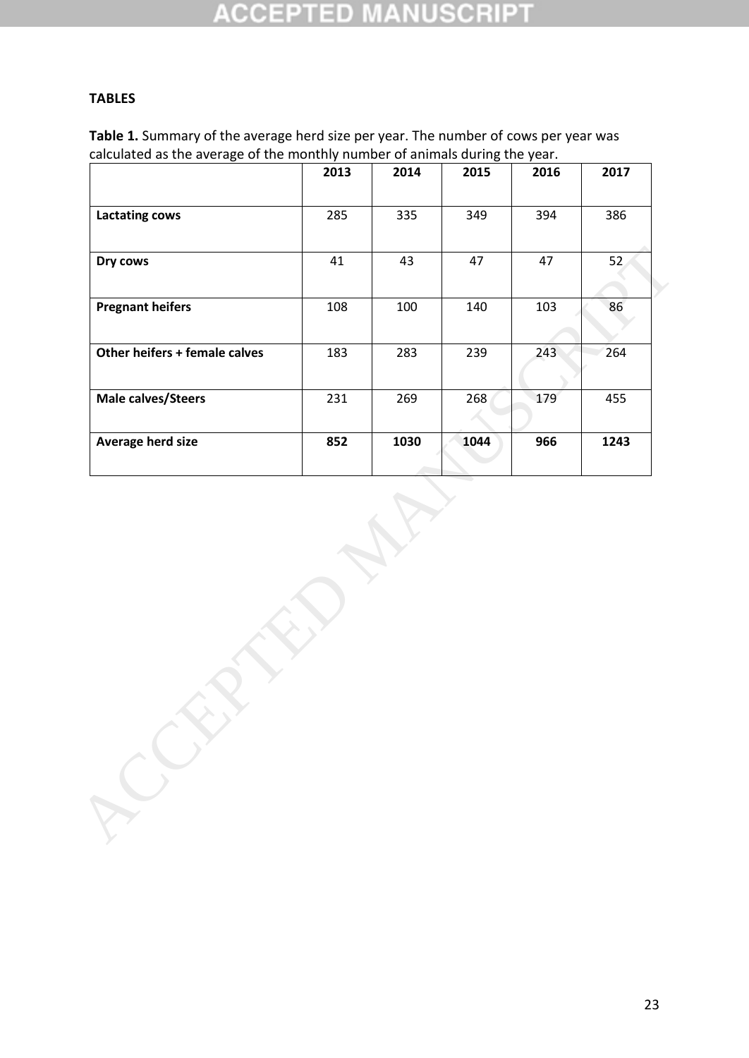### CCEPT sh.

## **TABLES**

**Table 1.** Summary of the average herd size per year. The number of cows per year was calculated as the average of the monthly number of animals during the year.

|                               | 2013 | 2014 | 2015 | 2016 | 2017 |
|-------------------------------|------|------|------|------|------|
| <b>Lactating cows</b>         | 285  | 335  | 349  | 394  | 386  |
| Dry cows                      | 41   | 43   | 47   | 47   | 52   |
| <b>Pregnant heifers</b>       | 108  | 100  | 140  | 103  | 86   |
| Other heifers + female calves | 183  | 283  | 239  | 243  | 264  |
| Male calves/Steers            | 231  | 269  | 268  | 179  | 455  |
| Average herd size             | 852  | 1030 | 1044 | 966  | 1243 |
|                               |      |      |      |      |      |
|                               |      |      |      |      |      |
|                               |      |      |      |      |      |
|                               |      |      |      |      |      |
|                               |      |      |      |      |      |
|                               |      |      |      |      |      |
|                               |      |      |      |      |      |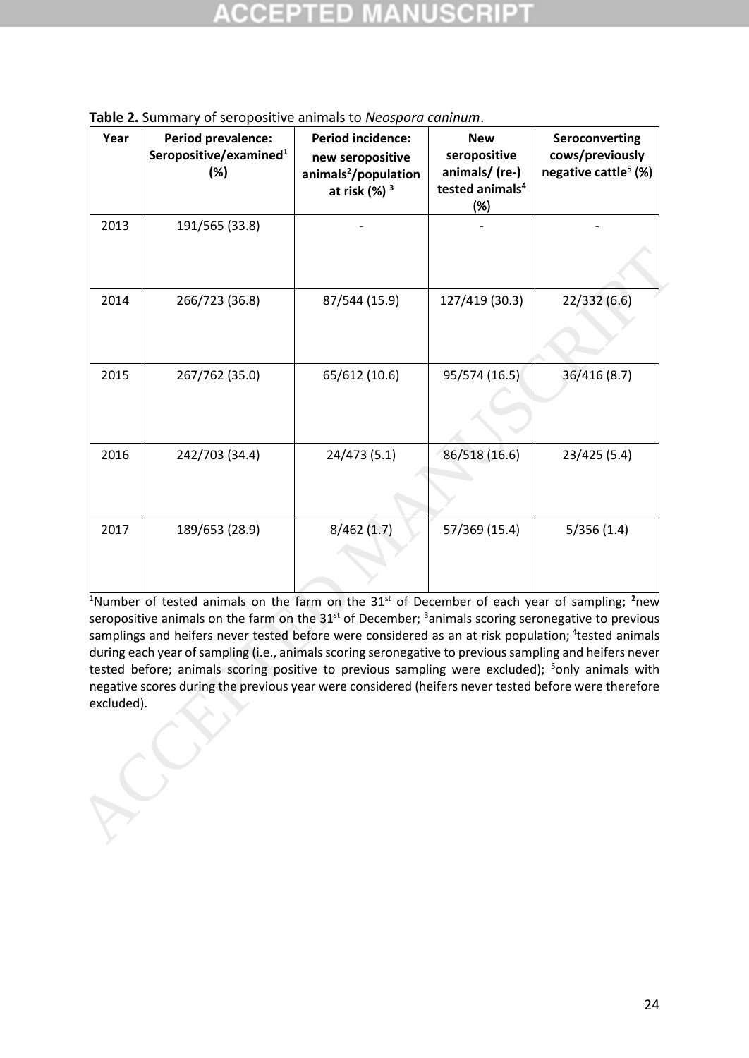| (%)            | animals <sup>2</sup> /population<br>at risk $(%)$ <sup>3</sup> | animals/ (re-)<br>tested animals <sup>4</sup><br>(%) | negative cattle <sup>5</sup> $(%)$                                                                                                                                                                                                                                                                                                                                                                                                                                                                                                                                                                                                                                                                         |
|----------------|----------------------------------------------------------------|------------------------------------------------------|------------------------------------------------------------------------------------------------------------------------------------------------------------------------------------------------------------------------------------------------------------------------------------------------------------------------------------------------------------------------------------------------------------------------------------------------------------------------------------------------------------------------------------------------------------------------------------------------------------------------------------------------------------------------------------------------------------|
| 191/565 (33.8) |                                                                |                                                      |                                                                                                                                                                                                                                                                                                                                                                                                                                                                                                                                                                                                                                                                                                            |
| 266/723 (36.8) | 87/544 (15.9)                                                  | 127/419 (30.3)                                       | 22/332 (6.6)                                                                                                                                                                                                                                                                                                                                                                                                                                                                                                                                                                                                                                                                                               |
| 267/762 (35.0) | 65/612 (10.6)                                                  | 95/574 (16.5)                                        | 36/416 (8.7)                                                                                                                                                                                                                                                                                                                                                                                                                                                                                                                                                                                                                                                                                               |
| 242/703 (34.4) | 24/473 (5.1)                                                   | 86/518 (16.6)                                        | 23/425 (5.4)                                                                                                                                                                                                                                                                                                                                                                                                                                                                                                                                                                                                                                                                                               |
| 189/653 (28.9) | 8/462(1.7)                                                     | 57/369 (15.4)                                        | 5/356(1.4)                                                                                                                                                                                                                                                                                                                                                                                                                                                                                                                                                                                                                                                                                                 |
|                |                                                                |                                                      |                                                                                                                                                                                                                                                                                                                                                                                                                                                                                                                                                                                                                                                                                                            |
|                |                                                                |                                                      | <sup>1</sup> Number of tested animals on the farm on the 31 <sup>st</sup> of December of each year of sampling; <sup>2</sup> new<br>seropositive animals on the farm on the $31st$ of December; <sup>3</sup> animals scoring seronegative to previous<br>samplings and heifers never tested before were considered as an at risk population; <sup>4</sup> tested animals<br>during each year of sampling (i.e., animals scoring seronegative to previous sampling and heifers never<br>tested before; animals scoring positive to previous sampling were excluded); <sup>5</sup> only animals with<br>negative scores during the previous year were considered (heifers never tested before were therefore |

**Table 2.** Summary of seropositive animals to *Neospora caninum*.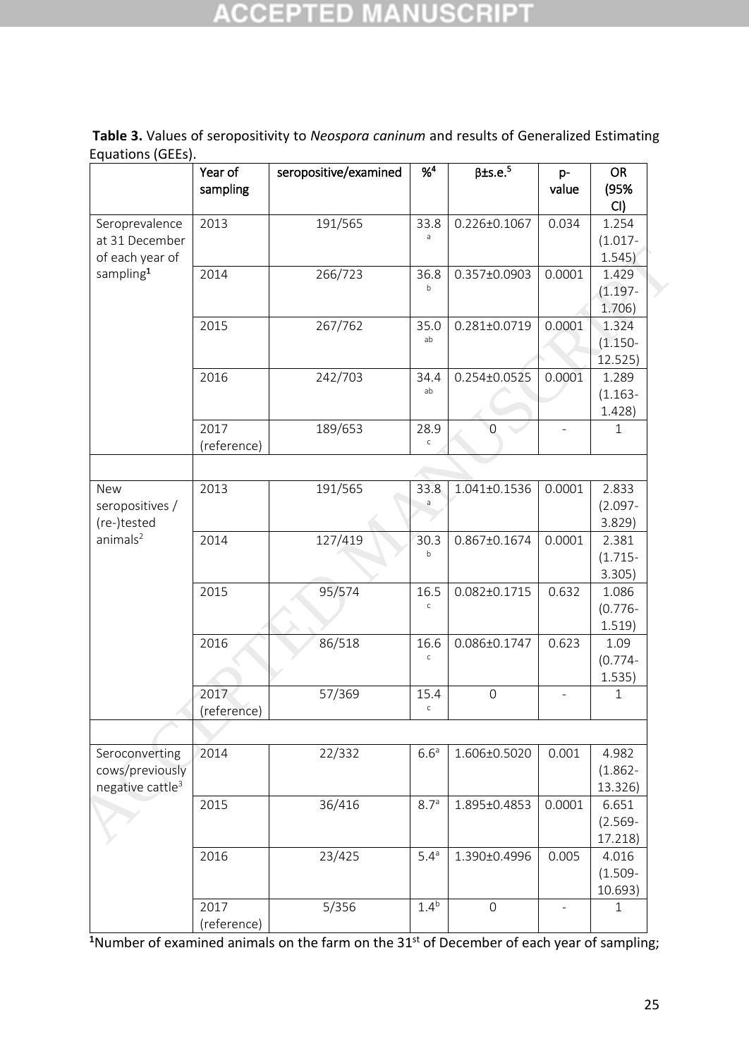# **ACCEPTED MANUSCRIPT**

| Table 3. Values of seropositivity to Neospora caninum and results of Generalized Estimating |  |  |
|---------------------------------------------------------------------------------------------|--|--|
| Equations (GEEs).                                                                           |  |  |

|                                                                   | Year of<br>sampling | seropositive/examined | $%^{4}$              | $\beta$ ±s.e. <sup>5</sup> | p-<br>value | <b>OR</b><br>(95%<br>CI)       |
|-------------------------------------------------------------------|---------------------|-----------------------|----------------------|----------------------------|-------------|--------------------------------|
| Seroprevalence<br>at 31 December<br>of each year of               | 2013                | 191/565               | 33.8<br>$\mathsf a$  | 0.226±0.1067               | 0.034       | 1.254<br>$(1.017 -$<br>1.545)  |
| sampling <sup>1</sup>                                             | 2014                | 266/723               | 36.8<br>b            | 0.357±0.0903               | 0.0001      | 1.429<br>$(1.197 -$<br>1.706)  |
|                                                                   | 2015                | 267/762               | 35.0<br>ab           | 0.281±0.0719               | 0.0001      | 1.324<br>$(1.150 -$<br>12.525) |
|                                                                   | 2016                | 242/703               | 34.4<br>ab           | 0.254±0.0525               | 0.0001      | 1.289<br>$(1.163 -$<br>1.428)  |
|                                                                   | 2017<br>(reference) | 189/653               | 28.9<br>$\mathsf C$  | $\overline{0}$             |             | $\mathbf{1}$                   |
|                                                                   |                     |                       |                      |                            |             |                                |
| <b>New</b><br>seropositives /<br>(re-)tested                      | 2013                | 191/565               | 33.8<br>a            | 1.041±0.1536               | 0.0001      | 2.833<br>$(2.097 -$<br>3.829)  |
| animals <sup>2</sup>                                              | 2014                | 127/419               | 30.3<br>$\mathsf b$  | 0.867±0.1674               | 0.0001      | 2.381<br>$(1.715 -$<br>3.305)  |
|                                                                   | 2015                | 95/574                | 16.5<br>$\mathsf{C}$ | $0.082 \pm 0.1715$         | 0.632       | 1.086<br>$(0.776 -$<br>1.519)  |
|                                                                   | 2016                | 86/518                | 16.6<br>$\mathsf{C}$ | 0.086±0.1747               | 0.623       | 1.09<br>$(0.774 -$<br>1.535)   |
|                                                                   | 2017<br>(reference) | 57/369                | 15.4<br>$\mathsf{C}$ | $\mathbf 0$                |             | $\mathbf{1}$                   |
|                                                                   |                     |                       |                      |                            |             |                                |
| Seroconverting<br>cows/previously<br>negative cattle <sup>3</sup> | 2014                | 22/332                | 6.6 <sup>a</sup>     | 1.606±0.5020               | 0.001       | 4.982<br>$(1.862 -$<br>13.326) |
|                                                                   | 2015                | 36/416                | 8.7 <sup>a</sup>     | 1.895±0.4853               | 0.0001      | 6.651<br>$(2.569 -$<br>17.218) |
|                                                                   | 2016                | 23/425                | 5.4 <sup>a</sup>     | 1.390±0.4996               | 0.005       | 4.016<br>$(1.509 -$<br>10.693) |
|                                                                   | 2017<br>(reference) | 5/356                 | 1.4 <sup>b</sup>     | $\mathbf 0$                |             | $\mathbf{1}$                   |

<sup>1</sup>Number of examined animals on the farm on the 31<sup>st</sup> of December of each year of sampling;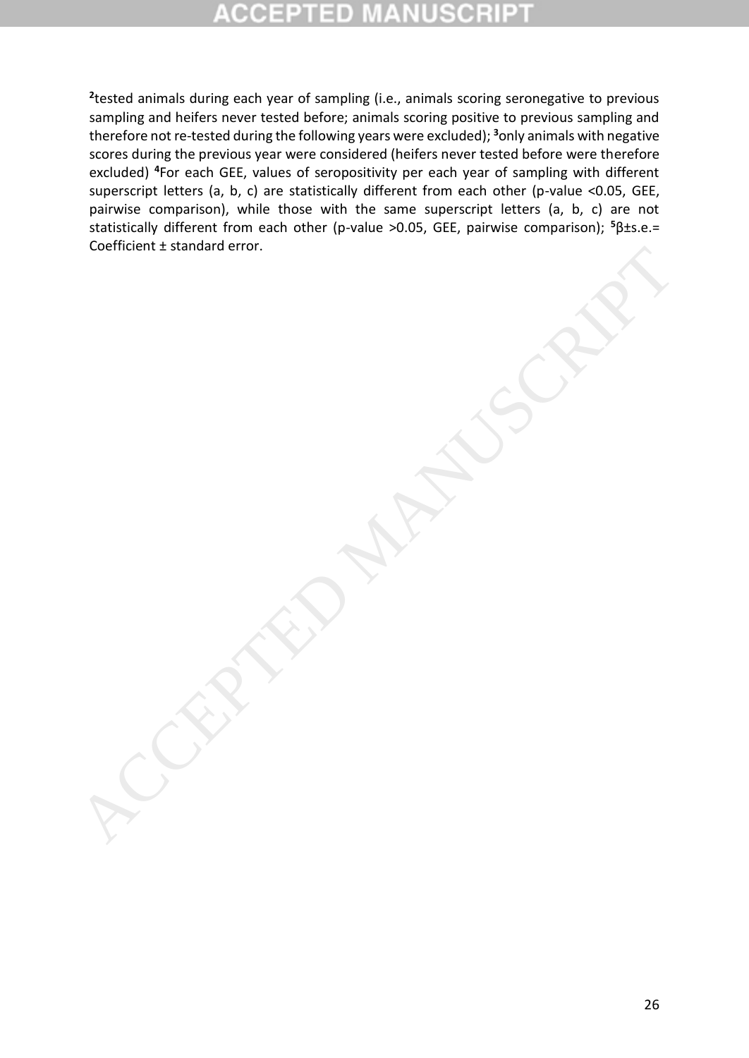**2** tested animals during each year of sampling (i.e., animals scoring seronegative to previous sampling and heifers never tested before; animals scoring positive to previous sampling and therefore not re-tested during the following years were excluded); **<sup>3</sup>**only animals with negative scores during the previous year were considered (heifers never tested before were therefore excluded) **<sup>4</sup>**For each GEE, values of seropositivity per each year of sampling with different superscript letters (a, b, c) are statistically different from each other (p-value <0.05, GEE, pairwise comparison), while those with the same superscript letters (a, b, c) are not statistically different from each other (p-value >0.05, GEE, pairwise comparison); **<sup>5</sup>**β±s.e.= Coefficient ± standard error.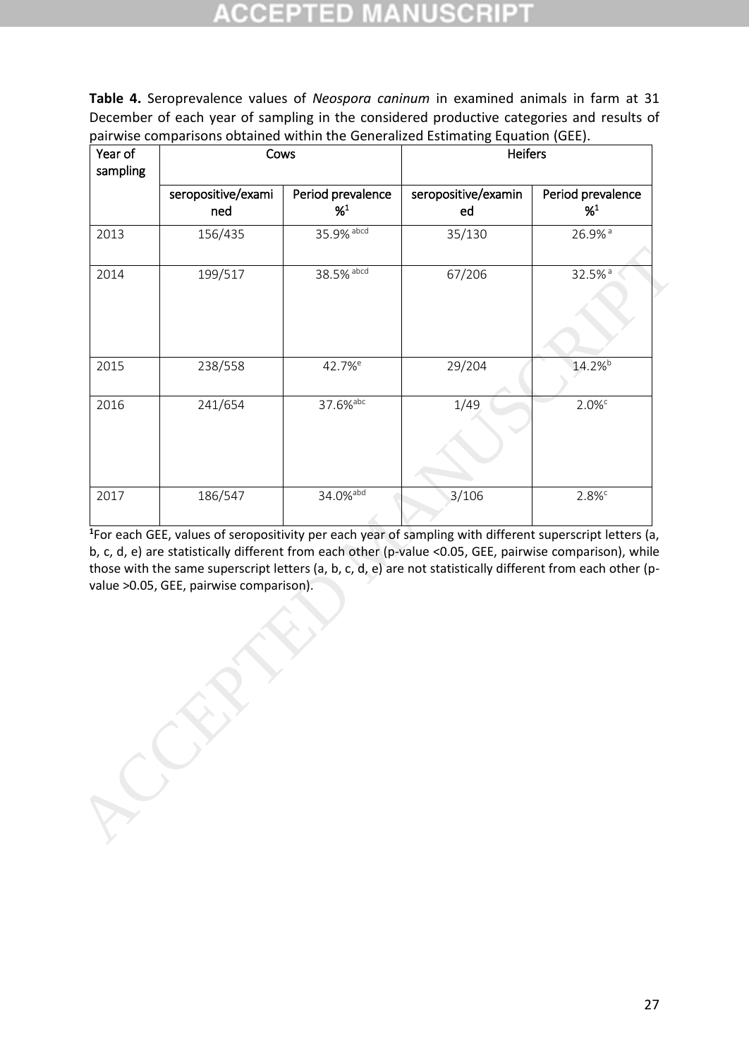# ID

**Table 4.** Seroprevalence values of *Neospora caninum* in examined animals in farm at 31 December of each year of sampling in the considered productive categories and results of pairwise comparisons obtained within the Generalized Estimating Equation (GEE).

| Year of<br>sampling | Cows                                    |                              | <b>Heifers</b>                                                                                                                                                                                                                                                                                                                                  |                              |
|---------------------|-----------------------------------------|------------------------------|-------------------------------------------------------------------------------------------------------------------------------------------------------------------------------------------------------------------------------------------------------------------------------------------------------------------------------------------------|------------------------------|
|                     | seropositive/exami<br>ned               | Period prevalence<br>$%^{1}$ | seropositive/examin<br>ed                                                                                                                                                                                                                                                                                                                       | Period prevalence<br>$%^{1}$ |
| 2013                | 156/435                                 | 35.9% abcd                   | 35/130                                                                                                                                                                                                                                                                                                                                          | 26.9% <sup>a</sup>           |
| 2014                | 199/517                                 | 38.5% abcd                   | 67/206                                                                                                                                                                                                                                                                                                                                          | 32.5% <sup>a</sup>           |
| 2015                | 238/558                                 | 42.7% <sup>e</sup>           | 29/204                                                                                                                                                                                                                                                                                                                                          | 14.2% <sup>b</sup>           |
| 2016                | 241/654                                 | 37.6% <sup>abc</sup>         | 1/49                                                                                                                                                                                                                                                                                                                                            | 2.0%                         |
| 2017                | 186/547                                 | 34.0% abd                    | 3/106                                                                                                                                                                                                                                                                                                                                           | $2.8\%$                      |
|                     | value >0.05, GEE, pairwise comparison). |                              | <sup>1</sup> For each GEE, values of seropositivity per each year of sampling with different superscript letters (a,<br>b, c, d, e) are statistically different from each other (p-value <0.05, GEE, pairwise comparison), while<br>those with the same superscript letters (a, b, c, d, e) are not statistically different from each other (p- |                              |
|                     |                                         |                              |                                                                                                                                                                                                                                                                                                                                                 |                              |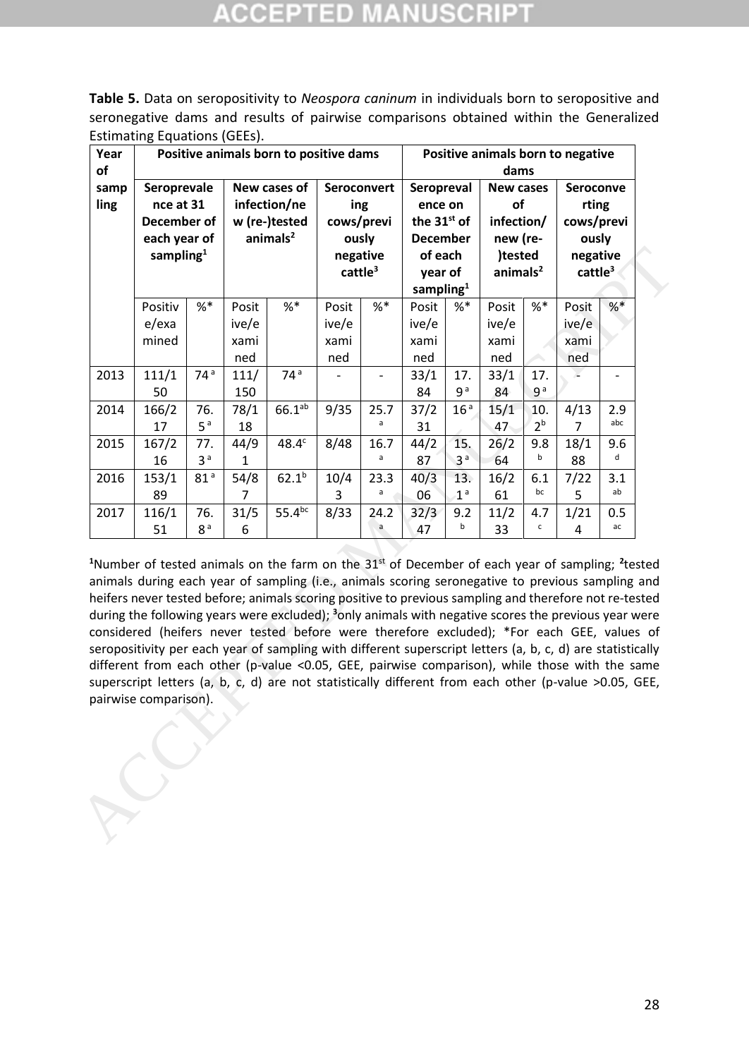**Table 5.** Data on seropositivity to *Neospora caninum* in individuals born to seropositive and seronegative dams and results of pairwise comparisons obtained within the Generalized Estimating Equations (GEEs).

| dams<br>Seroprevale<br>New cases of<br>Seroconvert<br>Seropreval<br>samp<br><b>New cases</b><br>Seroconve<br>of<br>nce at 31<br>infection/ne<br>ing<br>rting<br>ence on<br>the 31 <sup>st</sup> of<br>infection/<br>December of<br>w (re-)tested<br>cows/previ<br>cows/previ<br>animals <sup>2</sup><br>each year of<br>ously<br><b>December</b><br>new (re-<br>ously<br>sampling $1$<br>)tested<br>negative<br>of each<br>negative<br>$c$ attle $3$<br>animals <sup>2</sup><br>cattle <sup>3</sup><br>year of<br>sampling $1$<br>$%$ *<br>$%$ *<br>$%$ *<br>$%$ *<br>$%$ $*$<br>Positiv<br>Posit<br>Posit<br>$%$ *<br>Posit<br>Posit<br>Posit<br>e/exa<br>ive/e<br>ive/e<br>ive/e<br>ive/e<br>ive/e<br>mined<br>xami<br>xami<br>xami<br>xami<br>xami<br>ned<br>ned<br>ned<br>ned<br>ned<br>74 <sup>a</sup><br>74 <sup>a</sup><br>111/1<br>33/1<br>33/1<br>111/<br>17.<br>17.<br>$\overline{\phantom{0}}$<br>9 <sup>a</sup><br>9 <sup>a</sup><br>150<br>84<br>84<br>50<br>$66.1^{ab}$<br>166/2<br>9/35<br>25.7<br>16 <sup>a</sup><br>15/1<br>78/1<br>37/2<br>4/13<br>2.9<br>76.<br>10.<br>abc<br>a<br>2 <sup>b</sup><br>5 <sup>a</sup><br>18<br>47<br>17<br>31<br>$\overline{7}$<br>167/2<br>44/9<br>48.4 <sup>c</sup><br>8/48<br>16.7<br>44/2<br>26/2<br>77.<br>15.<br>9.8<br>18/1<br>9.6<br>d<br>a<br>b<br>3 <sup>a</sup><br>3 <sup>a</sup><br>16<br>1<br>87<br>64<br>88<br>$62.1^{b}$<br>153/1<br>81 <sup>a</sup><br>54/8<br>10/4<br>23.3<br>40/3<br>13.<br>16/2<br>7/22<br>3.1<br>6.1<br>ab<br>bc<br>a<br>1 <sup>a</sup><br>5<br>89<br>$\overline{7}$<br>06<br>61<br>3<br>$55.4^{bc}$<br>116/1<br>76.<br>31/5<br>8/33<br>24.2<br>11/2<br>1/21<br>32/3<br>9.2<br>4.7<br>0.5<br>b<br>a<br>c<br>ac<br>8 <sup>a</sup><br>6<br>51<br>47<br>33<br>4<br><sup>1</sup> Number of tested animals on the farm on the 31 <sup>st</sup> of December of each year of sampling; <sup>2</sup> tested<br>animals during each year of sampling (i.e., animals scoring seronegative to previous sampling and<br>heifers never tested before; animals scoring positive to previous sampling and therefore not re-tested<br>during the following years were excluded); $3$ only animals with negative scores the previous year were<br>considered (heifers never tested before were therefore excluded); *For each GEE, values of<br>seropositivity per each year of sampling with different superscript letters (a, b, c, d) are statistically<br>different from each other (p-value <0.05, GEE, pairwise comparison), while those with the same<br>superscript letters (a, b, c, d) are not statistically different from each other (p-value >0.05, GEE, | Year |  |  | Positive animals born to positive dams |  |  |  | Positive animals born to negative |  |
|-------------------------------------------------------------------------------------------------------------------------------------------------------------------------------------------------------------------------------------------------------------------------------------------------------------------------------------------------------------------------------------------------------------------------------------------------------------------------------------------------------------------------------------------------------------------------------------------------------------------------------------------------------------------------------------------------------------------------------------------------------------------------------------------------------------------------------------------------------------------------------------------------------------------------------------------------------------------------------------------------------------------------------------------------------------------------------------------------------------------------------------------------------------------------------------------------------------------------------------------------------------------------------------------------------------------------------------------------------------------------------------------------------------------------------------------------------------------------------------------------------------------------------------------------------------------------------------------------------------------------------------------------------------------------------------------------------------------------------------------------------------------------------------------------------------------------------------------------------------------------------------------------------------------------------------------------------------------------------------------------------------------------------------------------------------------------------------------------------------------------------------------------------------------------------------------------------------------------------------------------------------------------------------------------------------------------------------------------------------------------------------------------------------------------------------------------------------------------------------------------------------------------------------------------------------------------------------------------------------------------------------------|------|--|--|----------------------------------------|--|--|--|-----------------------------------|--|
|                                                                                                                                                                                                                                                                                                                                                                                                                                                                                                                                                                                                                                                                                                                                                                                                                                                                                                                                                                                                                                                                                                                                                                                                                                                                                                                                                                                                                                                                                                                                                                                                                                                                                                                                                                                                                                                                                                                                                                                                                                                                                                                                                                                                                                                                                                                                                                                                                                                                                                                                                                                                                                           | of   |  |  |                                        |  |  |  |                                   |  |
| 2013<br>2016<br>2017<br>pairwise comparison).                                                                                                                                                                                                                                                                                                                                                                                                                                                                                                                                                                                                                                                                                                                                                                                                                                                                                                                                                                                                                                                                                                                                                                                                                                                                                                                                                                                                                                                                                                                                                                                                                                                                                                                                                                                                                                                                                                                                                                                                                                                                                                                                                                                                                                                                                                                                                                                                                                                                                                                                                                                             | ling |  |  |                                        |  |  |  |                                   |  |
|                                                                                                                                                                                                                                                                                                                                                                                                                                                                                                                                                                                                                                                                                                                                                                                                                                                                                                                                                                                                                                                                                                                                                                                                                                                                                                                                                                                                                                                                                                                                                                                                                                                                                                                                                                                                                                                                                                                                                                                                                                                                                                                                                                                                                                                                                                                                                                                                                                                                                                                                                                                                                                           |      |  |  |                                        |  |  |  |                                   |  |
|                                                                                                                                                                                                                                                                                                                                                                                                                                                                                                                                                                                                                                                                                                                                                                                                                                                                                                                                                                                                                                                                                                                                                                                                                                                                                                                                                                                                                                                                                                                                                                                                                                                                                                                                                                                                                                                                                                                                                                                                                                                                                                                                                                                                                                                                                                                                                                                                                                                                                                                                                                                                                                           |      |  |  |                                        |  |  |  |                                   |  |
|                                                                                                                                                                                                                                                                                                                                                                                                                                                                                                                                                                                                                                                                                                                                                                                                                                                                                                                                                                                                                                                                                                                                                                                                                                                                                                                                                                                                                                                                                                                                                                                                                                                                                                                                                                                                                                                                                                                                                                                                                                                                                                                                                                                                                                                                                                                                                                                                                                                                                                                                                                                                                                           |      |  |  |                                        |  |  |  |                                   |  |
|                                                                                                                                                                                                                                                                                                                                                                                                                                                                                                                                                                                                                                                                                                                                                                                                                                                                                                                                                                                                                                                                                                                                                                                                                                                                                                                                                                                                                                                                                                                                                                                                                                                                                                                                                                                                                                                                                                                                                                                                                                                                                                                                                                                                                                                                                                                                                                                                                                                                                                                                                                                                                                           |      |  |  |                                        |  |  |  |                                   |  |
|                                                                                                                                                                                                                                                                                                                                                                                                                                                                                                                                                                                                                                                                                                                                                                                                                                                                                                                                                                                                                                                                                                                                                                                                                                                                                                                                                                                                                                                                                                                                                                                                                                                                                                                                                                                                                                                                                                                                                                                                                                                                                                                                                                                                                                                                                                                                                                                                                                                                                                                                                                                                                                           | 2014 |  |  |                                        |  |  |  |                                   |  |
|                                                                                                                                                                                                                                                                                                                                                                                                                                                                                                                                                                                                                                                                                                                                                                                                                                                                                                                                                                                                                                                                                                                                                                                                                                                                                                                                                                                                                                                                                                                                                                                                                                                                                                                                                                                                                                                                                                                                                                                                                                                                                                                                                                                                                                                                                                                                                                                                                                                                                                                                                                                                                                           | 2015 |  |  |                                        |  |  |  |                                   |  |
|                                                                                                                                                                                                                                                                                                                                                                                                                                                                                                                                                                                                                                                                                                                                                                                                                                                                                                                                                                                                                                                                                                                                                                                                                                                                                                                                                                                                                                                                                                                                                                                                                                                                                                                                                                                                                                                                                                                                                                                                                                                                                                                                                                                                                                                                                                                                                                                                                                                                                                                                                                                                                                           |      |  |  |                                        |  |  |  |                                   |  |
|                                                                                                                                                                                                                                                                                                                                                                                                                                                                                                                                                                                                                                                                                                                                                                                                                                                                                                                                                                                                                                                                                                                                                                                                                                                                                                                                                                                                                                                                                                                                                                                                                                                                                                                                                                                                                                                                                                                                                                                                                                                                                                                                                                                                                                                                                                                                                                                                                                                                                                                                                                                                                                           |      |  |  |                                        |  |  |  |                                   |  |
|                                                                                                                                                                                                                                                                                                                                                                                                                                                                                                                                                                                                                                                                                                                                                                                                                                                                                                                                                                                                                                                                                                                                                                                                                                                                                                                                                                                                                                                                                                                                                                                                                                                                                                                                                                                                                                                                                                                                                                                                                                                                                                                                                                                                                                                                                                                                                                                                                                                                                                                                                                                                                                           |      |  |  |                                        |  |  |  |                                   |  |
|                                                                                                                                                                                                                                                                                                                                                                                                                                                                                                                                                                                                                                                                                                                                                                                                                                                                                                                                                                                                                                                                                                                                                                                                                                                                                                                                                                                                                                                                                                                                                                                                                                                                                                                                                                                                                                                                                                                                                                                                                                                                                                                                                                                                                                                                                                                                                                                                                                                                                                                                                                                                                                           |      |  |  |                                        |  |  |  |                                   |  |